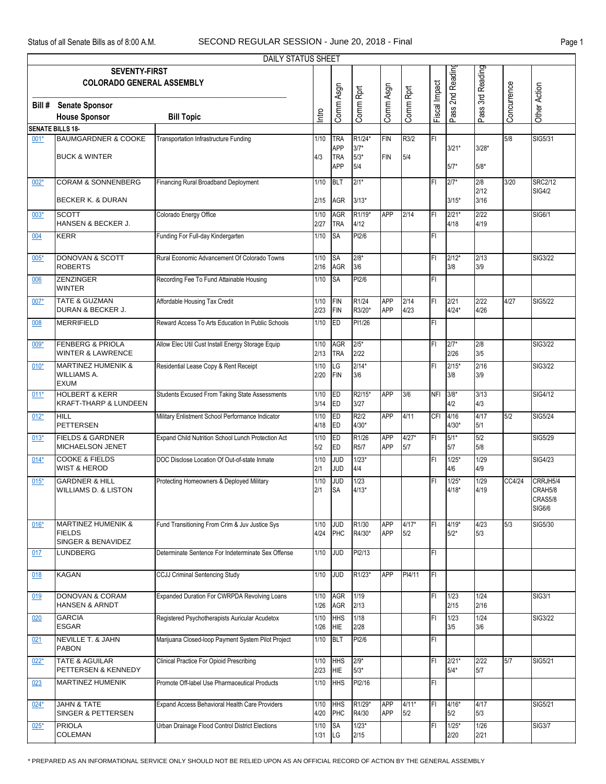$\mathbf{r}$ 

|        |                                                                    | DAILY STATUS SHEET                                 |                |                                 |                         |                          |                |               |                    |                   |             |                                          |
|--------|--------------------------------------------------------------------|----------------------------------------------------|----------------|---------------------------------|-------------------------|--------------------------|----------------|---------------|--------------------|-------------------|-------------|------------------------------------------|
|        | <b>SEVENTY-FIRST</b><br><b>COLORADO GENERAL ASSEMBLY</b>           |                                                    |                |                                 |                         |                          |                |               | Pass 2nd Reading   | 3rd Reading       |             |                                          |
| Bill # | <b>Senate Sponsor</b><br><b>House Sponsor</b>                      | <b>Bill Topic</b>                                  | Intro          | Comm Asgn                       | Comm Rprt               | Comm Asgn                | Comm Rprt      | Fiscal Impact |                    | Pass              | Concurrence | Other Action                             |
|        | <b>SENATE BILLS 18-</b>                                            |                                                    |                |                                 |                         |                          |                |               |                    |                   |             |                                          |
| $001*$ | <b>BAUMGARDNER &amp; COOKE</b>                                     | <b>Transportation Infrastructure Funding</b>       | 1/10           | TRA                             | R1/24*                  | FIN                      | R3/2           | FI            |                    |                   | 5/8         | SIG5/31                                  |
|        | <b>BUCK &amp; WINTER</b>                                           |                                                    | 4/3            | <b>APP</b><br>TRA<br><b>APP</b> | $3/7*$<br>$5/3*$<br>5/4 | <b>FIN</b>               | 5/4            |               | $3/21*$<br>5/7*    | $3/28*$<br>$5/8*$ |             |                                          |
| $002*$ | <b>CORAM &amp; SONNENBERG</b>                                      | Financing Rural Broadband Deployment               | 1/10           | BLT                             | $2/1*$                  |                          |                | FI            | $2/7*$             | 2/8<br>2/12       | 3/20        | <b>SRC2/12</b><br><b>SIG4/2</b>          |
|        | <b>BECKER K. &amp; DURAN</b>                                       |                                                    | 2/15           | <b>AGR</b>                      | $3/13*$                 |                          |                |               | $3/15*$            | 3/16              |             |                                          |
| $003*$ | <b>SCOTT</b><br>HANSEN & BECKER J.                                 | Colorado Energy Office                             | 1/10<br>2/27   | <b>AGR</b><br><b>TRA</b>        | R1/19*<br>4/12          | <b>APP</b>               | 2/14           | FI            | $2/21*$<br>4/18    | 2/22<br>4/19      |             | SIG6/1                                   |
| 004    | <b>KERR</b>                                                        | Funding For Full-day Kindergarten                  | 1/10           | <b>SA</b>                       | PI2/6                   |                          |                | FI            |                    |                   |             |                                          |
| 005*   | DONOVAN & SCOTT<br><b>ROBERTS</b>                                  | Rural Economic Advancement Of Colorado Towns       | 1/10<br>2/16   | <b>SA</b><br><b>AGR</b>         | $2/8*$<br>3/6           |                          |                | FI            | $2/12*$<br>3/8     | 2/13<br>3/9       |             | SIG3/22                                  |
| 006    | <b>ZENZINGER</b><br><b>WINTER</b>                                  | Recording Fee To Fund Attainable Housing           | 1/10           | <b>SA</b>                       | PI2/6                   |                          |                | FI            |                    |                   |             |                                          |
| 007*   | <b>TATE &amp; GUZMAN</b><br>DURAN & BECKER J.                      | Affordable Housing Tax Credit                      | 1/10<br>2/23   | FIN<br>FIN                      | R1/24<br>R3/20*         | <b>APP</b><br><b>APP</b> | 2/14<br>4/23   | ΙFΙ           | 2/21<br>$4/24*$    | 2/22<br>4/26      | 4/27        | SIG5/22                                  |
| 008    | <b>MERRIFIELD</b>                                                  | Reward Access To Arts Education In Public Schools  | 1/10           | ED                              | PI1/26                  |                          |                | lFI.          |                    |                   |             |                                          |
| $009*$ | <b>FENBERG &amp; PRIOLA</b><br><b>WINTER &amp; LAWRENCE</b>        | Allow Elec Util Cust Install Energy Storage Equip  | 1/10<br>2/13   | <b>AGR</b><br><b>TRA</b>        | $2/5*$<br>2/22          |                          |                | FI            | $2/7*$<br>2/26     | 2/8<br>3/5        |             | SIG3/22                                  |
| $010*$ | <b>MARTINEZ HUMENIK &amp;</b><br><b>WILLIAMS A.</b><br><b>EXUM</b> | Residential Lease Copy & Rent Receipt              | 1/10<br>2/20   | LG<br>FIN                       | $2/14*$<br>3/6          |                          |                | FI            | $2/15*$<br>3/8     | 2/16<br>3/9       |             | SIG3/22                                  |
| $011*$ | <b>HOLBERT &amp; KERR</b><br><b>KRAFT-THARP &amp; LUNDEEN</b>      | Students Excused From Taking State Assessments     | $1/10$<br>3/14 | ED<br>ED                        | R2/15*<br>3/27          | <b>APP</b>               | 3/6            | <b>NFI</b>    | $3/8*$<br>4/2      | 3/13<br>4/3       |             | SIG4/12                                  |
| $012*$ | <b>HILL</b><br><b>PETTERSEN</b>                                    | Military Enlistment School Performance Indicator   | 1/10<br>4/18   | ED<br>ED                        | R2/2<br>$4/30*$         | <b>APP</b>               | 4/11           | CFI           | 4/16<br>$4/30*$    | 4/17<br>5/1       | 5/2         | SIG5/24                                  |
| $013*$ | <b>FIELDS &amp; GARDNER</b><br>MICHAELSON JENET                    | Expand Child Nutrition School Lunch Protection Act | 1/10<br>5/2    | ED<br>ED                        | R1/26<br>R5/7           | <b>APP</b><br><b>APP</b> | $4/27*$<br>5/7 | İΕL           | $5/1*$<br>5/7      | 5/2<br>5/8        |             | SIG5/29                                  |
| $014*$ | <b>COOKE &amp; FIELDS</b><br><b>WIST &amp; HEROD</b>               | DOC Disclose Location Of Out-of-state Inmate       | 1/10<br>2/1    | <b>JUD</b><br><b>JUD</b>        | $1/23*$<br>4/4          |                          |                | FI            | $1/25*$<br>4/6     | 1/29<br>4/9       |             | SIG4/23                                  |
| $015*$ | <b>GARDNER &amp; HILL</b><br><b>WILLIAMS D. &amp; LISTON</b>       | Protecting Homeowners & Deployed Military          | $1/10$<br>2/1  | <b>JUD</b><br><b>SA</b>         | 1/23<br>$4/13*$         |                          |                | FI            | $1/25*$<br>$4/18*$ | 1/29<br>4/19      | CC4/24      | CRRJH5/4<br>CRAH5/8<br>CRAS5/8<br>SIG6/6 |
| $016*$ | MARTINEZ HUMENIK &<br><b>FIELDS</b><br>SINGER & BENAVIDEZ          | Fund Transitioning From Crim & Juv Justice Sys     | 1/10<br>4/24   | <b>JUD</b><br>PHC               | R1/30<br>R4/30*         | <b>APP</b><br><b>APP</b> | $4/17*$<br>5/2 | FI            | 4/19*<br>$5/2*$    | 4/23<br>5/3       | 5/3         | SIG5/30                                  |
| 017    | LUNDBERG                                                           | Determinate Sentence For Indeterminate Sex Offense | 1/10           | <b>JUD</b>                      | PI2/13                  |                          |                | lFI.          |                    |                   |             |                                          |
| 018    | <b>KAGAN</b>                                                       | <b>CCJJ Criminal Sentencing Study</b>              | 1/10           | <b>JUD</b>                      | R1/23*                  | <b>APP</b>               | PI4/11         | lFI.          |                    |                   |             |                                          |
| 019    | DONOVAN & CORAM<br>HANSEN & ARNDT                                  | Expanded Duration For CWRPDA Revolving Loans       | 1/10<br>1/26   | AGR<br><b>AGR</b>               | 1/19<br>2/13            |                          |                | FI            | 1/23<br>2/15       | 1/24<br>2/16      |             | SIG3/1                                   |
| 020    | <b>GARCIA</b><br><b>ESGAR</b>                                      | Registered Psychotherapists Auricular Acudetox     | 1/10<br>1/26   | <b>HHS</b><br><b>HIE</b>        | 1/18<br>2/28            |                          |                | FI            | 1/23<br>3/5        | 1/24<br>3/6       |             | SIG3/22                                  |
| 021    | NEVILLE T. & JAHN<br>PABON                                         | Marijuana Closed-loop Payment System Pilot Project | 1/10           | BLT                             | PI2/6                   |                          |                | FI            |                    |                   |             |                                          |
| $022*$ | <b>TATE &amp; AGUILAR</b><br>PETTERSEN & KENNEDY                   | <b>Clinical Practice For Opioid Prescribing</b>    | 1/10<br>2/23   | <b>HHS</b><br>HIE               | $2/9*$<br>$5/3*$        |                          |                | FI            | $2/21*$<br>$5/4*$  | 2/22<br>5/7       | 5/7         | SIG5/21                                  |
| 023    | <b>MARTINEZ HUMENIK</b>                                            | Promote Off-label Use Pharmaceutical Products      | 1/10           | <b>HHS</b>                      | PI2/16                  |                          |                | lFI.          |                    |                   |             |                                          |
| $024*$ | <b>JAHN &amp; TATE</b><br>SINGER & PETTERSEN                       | Expand Access Behavioral Health Care Providers     | 1/10<br>4/20   | <b>HHS</b><br>PHC               | R1/29*<br>R4/30         | <b>APP</b><br><b>APP</b> | $4/11*$<br>5/2 | FI            | 4/16*<br>5/2       | 4/17<br>5/3       |             | SIG5/21                                  |
| $025*$ | PRIOLA<br>COLEMAN                                                  | Urban Drainage Flood Control District Elections    | 1/10<br>1/31   | <b>SA</b><br>LG                 | $1/23*$<br>2/15         |                          |                | FI            | $1/25*$<br>2/20    | 1/26<br>2/21      |             | <b>SIG3/7</b>                            |

\* PREPARED AS AN INFORMATIONAL SERVICE ONLY SHOULD NOT BE RELIED UPON AS AN OFFICIAL RECORD OF ACTION BY THE GENERAL ASSEMBLY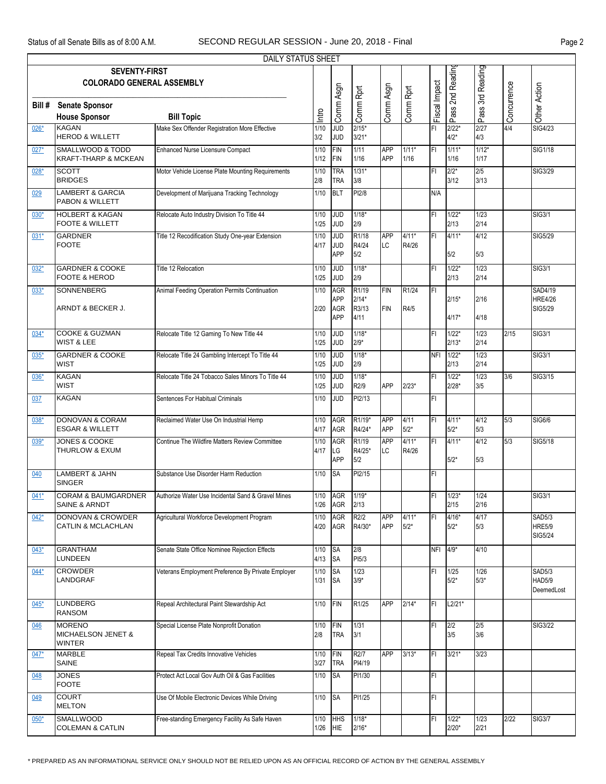|        |                                                                 | DAILY STATUS SHEET                                 |                  |                          |                             |                          |                  |               |                    |                 |             |                          |
|--------|-----------------------------------------------------------------|----------------------------------------------------|------------------|--------------------------|-----------------------------|--------------------------|------------------|---------------|--------------------|-----------------|-------------|--------------------------|
|        | <b>SEVENTY-FIRST</b>                                            |                                                    |                  |                          |                             |                          |                  |               | Pass 2nd Reading   |                 |             |                          |
|        | <b>COLORADO GENERAL ASSEMBLY</b>                                |                                                    |                  |                          |                             |                          |                  |               |                    | 3rd Reading     |             |                          |
|        |                                                                 |                                                    |                  | Comm Asgn                | Comm Rprt                   | Comm Asgn                | Comm Rprt        | Fiscal Impact |                    |                 | Concurrence | Other Action             |
| Bill#  | <b>Senate Sponsor</b>                                           |                                                    |                  |                          |                             |                          |                  |               |                    |                 |             |                          |
|        | <b>House Sponsor</b>                                            | <b>Bill Topic</b>                                  | Intro            |                          |                             |                          |                  |               |                    | Pass ?          |             |                          |
| $026*$ | <b>KAGAN</b><br><b>HEROD &amp; WILLETT</b>                      | Make Sex Offender Registration More Effective      | 1/10<br>3/2      | <b>JUD</b><br><b>JUD</b> | $2/15*$<br>$3/21*$          |                          |                  | FI            | $2/22*$<br>$4/2*$  | 2/27<br>4/3     | 4/4         | <b>SIG4/23</b>           |
| $027*$ | <b>SMALLWOOD &amp; TODD</b><br><b>KRAFT-THARP &amp; MCKEAN</b>  | <b>Enhanced Nurse Licensure Compact</b>            | $1/10$<br>$1/12$ | <b>FIN</b><br>FIN        | 1/11<br>$1/16$              | <b>APP</b><br><b>APP</b> | $1/11*$<br>1/16  | FI            | $1/11*$<br>1/16    | $1/12*$<br>1/17 |             | <b>SIG1/18</b>           |
| $028*$ | <b>SCOTT</b><br><b>BRIDGES</b>                                  | Motor Vehicle License Plate Mounting Requirements  | $1/10$<br>2/8    | <b>TRA</b><br><b>TRA</b> | $1/31*$<br>3/8              |                          |                  | FI            | $2/2*$<br>3/12     | 2/5<br>3/13     |             | SIG3/29                  |
| 029    | <b>LAMBERT &amp; GARCIA</b><br>PABON & WILLETT                  | Development of Marijuana Tracking Technology       | 1/10             | BLT                      | PI2/8                       |                          |                  | N/A           |                    |                 |             |                          |
| $030*$ | <b>HOLBERT &amp; KAGAN</b><br>FOOTE & WILLETT                   | Relocate Auto Industry Division To Title 44        | 1/10<br>1/25     | g<br><b>JUD</b>          | $1/18*$<br>2/9              |                          |                  | FI            | $1/22*$<br>2/13    | 1/23<br>2/14    |             | <b>SIG3/1</b>            |
| $031*$ | <b>GARDNER</b>                                                  | Title 12 Recodification Study One-year Extension   | 1/10             | g                        | R1/18                       | <b>APP</b>               | $4/11*$          | FI            | $4/11*$            | 4/12            |             | SIG5/29                  |
|        | <b>FOOTE</b>                                                    |                                                    | 4/17             | <b>JUD</b><br><b>APP</b> | R4/24<br>5/2                | <b>LC</b>                | R4/26            |               | 5/2                | 5/3             |             |                          |
| $032*$ | <b>GARDNER &amp; COOKE</b><br><b>FOOTE &amp; HEROD</b>          | Title 12 Relocation                                | 1/10<br>1/25     | g<br><b>JUD</b>          | $1/18*$<br>2/9              |                          |                  | FI            | $1/22*$<br>2/13    | 1/23<br>2/14    |             | <b>SIG3/1</b>            |
| $033*$ | <b>SONNENBERG</b>                                               | Animal Feeding Operation Permits Continuation      | 1/10             | <b>AGR</b>               | R1/19                       | <b>FIN</b>               | R1/24            | FL            |                    |                 |             | <b>SAD4/19</b>           |
|        |                                                                 |                                                    |                  | APP                      | $2/14*$                     |                          |                  |               | $2/15*$            | 2/16            |             | <b>HRE4/26</b>           |
|        | ARNDT & BECKER J.                                               |                                                    | 2/20             | <b>AGR</b><br><b>APP</b> | R3/13<br>4/11               | FIN                      | R4/5             |               | 4/17*              | 4/18            |             | SIG5/29                  |
| $034*$ | <b>COOKE &amp; GUZMAN</b>                                       | Relocate Title 12 Gaming To New Title 44           | $1/10$           | <b>JUD</b>               | $1/18*$                     |                          |                  | FI            | $1/22*$            | 1/23            | 2/15        | <b>SIG3/1</b>            |
|        | <b>WIST &amp; LEE</b>                                           |                                                    | 1/25             | <b>JUD</b>               | $2/9*$                      |                          |                  |               | $2/13*$            | 2/14            |             |                          |
| $035*$ | <b>GARDNER &amp; COOKE</b><br><b>WIST</b>                       | Relocate Title 24 Gambling Intercept To Title 44   | $1/10$<br>1/25   | <b>JUD</b><br><b>JUD</b> | $1/18*$<br>2/9              |                          |                  | <b>NFI</b>    | $1/22*$<br>2/13    | 1/23<br>2/14    |             | <b>SIG3/1</b>            |
| $036*$ | KAGAN<br><b>WIST</b>                                            | Relocate Title 24 Tobacco Sales Minors To Title 44 | 1/10<br>1/25     | <b>JUD</b><br><b>JUD</b> | $1/18*$<br>R2/9             | APP                      | $2/23*$          | FI            | $1/22*$<br>$2/28*$ | 1/23<br>3/5     | 3/6         | SIG3/15                  |
| 037    | <b>KAGAN</b>                                                    | Sentences For Habitual Criminals                   | 1/10             | <b>JUD</b>               | PI2/13                      |                          |                  | FI            |                    |                 |             |                          |
| $038*$ | <b>DONOVAN &amp; CORAM</b><br><b>ESGAR &amp; WILLETT</b>        | Reclaimed Water Use On Industrial Hemp             | 1/10<br>4/17     | <b>AGR</b><br>AGR        | R1/19*<br>R4/24*            | <b>APP</b><br><b>APP</b> | 4/11<br>$5/2^*$  | FI            | $4/11*$<br>$5/2*$  | 4/12<br>5/3     | 5/3         | SIG6/6                   |
| $039*$ | <b>JONES &amp; COOKE</b><br>THURLOW & EXUM                      | Continue The Wildfire Matters Review Committee     | 1/10<br>4/17     | <b>AGR</b><br>LG         | R <sub>1/19</sub><br>R4/25* | <b>APP</b><br>LC         | $4/11*$<br>R4/26 | IFL           | $4/11*$            | 4/12            | 5/3         | SIG5/18                  |
|        |                                                                 |                                                    |                  | <b>APP</b>               | 5/2                         |                          |                  |               | $5/2*$             | 5/3             |             |                          |
| 040    | <b>LAMBERT &amp; JAHN</b><br><b>SINGER</b>                      | Substance Use Disorder Harm Reduction              | 1/10             | <b>SA</b>                | PI2/15                      |                          |                  | FI            |                    |                 |             |                          |
| $041*$ | <b>CORAM &amp; BAUMGARDNER</b><br><b>SAINE &amp; ARNDT</b>      | Authorize Water Use Incidental Sand & Gravel Mines | 1/10<br>1/26     | <b>AGR</b><br>AGR        | $1/19*$<br>2/13             |                          |                  | FI            | $1/23*$<br>2/15    | 1/24<br>2/16    |             | SIG3/1                   |
| $042*$ | <b>DONOVAN &amp; CROWDER</b>                                    | Agricultural Workforce Development Program         | 1/10             | <b>AGR</b>               | R2/2                        | <b>APP</b>               | $4/11*$          | FI            | $4/16*$            | 4/17            |             | <b>SAD5/3</b>            |
|        | CATLIN & MCLACHLAN                                              |                                                    | 4/20             | AGR                      | R4/30*                      | <b>APP</b>               | $5/2*$           |               | $5/2*$             | 5/3             |             | <b>HRE5/9</b><br>SIG5/24 |
| $043*$ | <b>GRANTHAM</b><br>LUNDEEN                                      | Senate State Office Nominee Rejection Effects      | 1/10<br>4/13     | <b>SA</b><br><b>SA</b>   | 2/8<br>PI5/3                |                          |                  |               | NFI 4/9*           | 4/10            |             |                          |
| $044*$ | <b>CROWDER</b>                                                  | Veterans Employment Preference By Private Employer | 1/10             | <b>SA</b>                | 1/23                        |                          |                  | FI            | $1/25$             | 1/26            |             | <b>SAD5/3</b>            |
|        | LANDGRAF                                                        |                                                    | $1/31$           | <b>I</b> SA              | $3/9*$                      |                          |                  |               | $5/2*$             | $5/3*$          |             | HAD5/9<br>DeemedLost     |
| $045*$ | LUNDBERG<br><b>RANSOM</b>                                       | Repeal Architectural Paint Stewardship Act         | 1/10             | FIN                      | R1/25                       | <b>APP</b>               | $2/14*$          | FI            | $L2/21*$           |                 |             |                          |
| 046    | <b>MORENO</b><br><b>MICHAELSON JENET &amp;</b><br><b>WINTER</b> | Special License Plate Nonprofit Donation           | 1/10<br>2/8      | FIN<br><b>TRA</b>        | 1/31<br>3/1                 |                          |                  | FI            | 2/2<br>3/5         | 2/5<br>3/6      |             | SIG3/22                  |
| $047*$ | <b>MARBLE</b><br>SAINE                                          | Repeal Tax Credits Innovative Vehicles             | 1/10<br>3/27     | FIN<br><b>TRA</b>        | R <sub>2</sub> /7<br>PI4/19 | <b>APP</b>               | $3/13*$          | FI            | $3/21*$            | 3/23            |             |                          |
| 048    | <b>JONES</b><br><b>FOOTE</b>                                    | Protect Act Local Gov Auth Oil & Gas Facilities    | 1/10             | <b>SA</b>                | PI1/30                      |                          |                  | FI            |                    |                 |             |                          |
| 049    | <b>COURT</b><br><b>MELTON</b>                                   | Use Of Mobile Electronic Devices While Driving     | 1/10             | <b>SA</b>                | PI1/25                      |                          |                  | FI            |                    |                 |             |                          |
| $050*$ | <b>SMALLWOOD</b><br><b>COLEMAN &amp; CATLIN</b>                 | Free-standing Emergency Facility As Safe Haven     | 1/10<br>1/26     | <b>HHS</b><br>HIE        | $1/18*$<br>$2/16*$          |                          |                  | FI            | $1/22*$<br>$2/20*$ | 1/23<br>2/21    | 2/22        | <b>SIG3/7</b>            |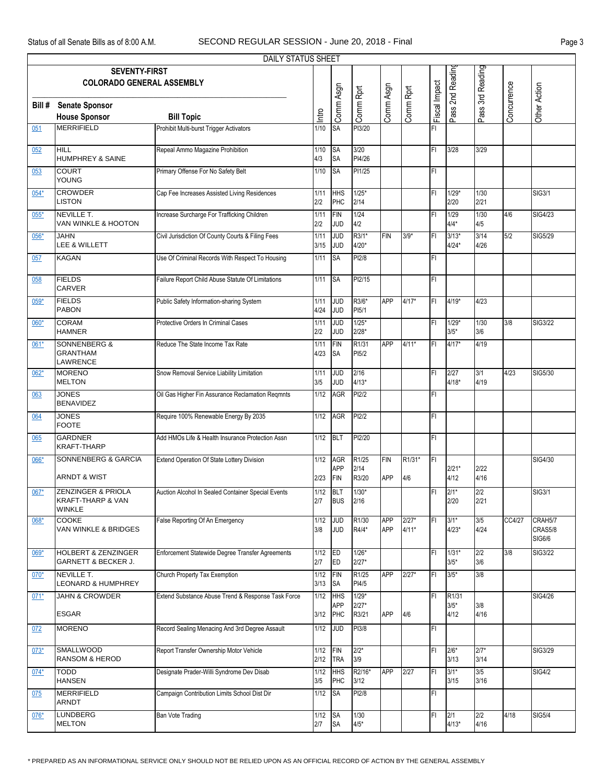|        |                                                                     | DAILY STATUS SHEET                                 |              |                                 |                             |                          |                    |                |                             |                  |             |                              |
|--------|---------------------------------------------------------------------|----------------------------------------------------|--------------|---------------------------------|-----------------------------|--------------------------|--------------------|----------------|-----------------------------|------------------|-------------|------------------------------|
|        | <b>SEVENTY-FIRST</b><br><b>COLORADO GENERAL ASSEMBLY</b>            |                                                    |              |                                 |                             |                          |                    |                | Pass 2nd Reading            | Pass 3rd Reading |             |                              |
| Bill # | <b>Senate Sponsor</b><br><b>House Sponsor</b>                       | <b>Bill Topic</b>                                  | Intro        | Comm Asgn                       | Comm Rprt                   | Comm Asgn                | Comm Rprt          | Fiscal Impact  |                             |                  | Concurrence | Other Action                 |
| 051    | <b>MERRIFIELD</b>                                                   | Prohibit Multi-burst Trigger Activators            | 1/10         | <b>SA</b>                       | PI3/20                      |                          |                    | FI             |                             |                  |             |                              |
| 052    | <b>HILL</b><br>HUMPHREY & SAINE                                     | Repeal Ammo Magazine Prohibition                   | 1/10<br>4/3  | <b>SA</b><br><b>SA</b>          | 3/20<br>PI4/26              |                          |                    | FL             | $3/28$                      | 3/29             |             |                              |
| 053    | <b>COURT</b><br><b>YOUNG</b>                                        | Primary Offense For No Safety Belt                 | 1/10         | <b>SA</b>                       | PI1/25                      |                          |                    | FL             |                             |                  |             |                              |
| $054*$ | <b>CROWDER</b><br><b>LISTON</b>                                     | Cap Fee Increases Assisted Living Residences       | 1/11<br>2/2  | <b>HHS</b><br>PHC               | $1/25*$<br>2/14             |                          |                    | FI             | $1/29*$<br>2/20             | 1/30<br>2/21     |             | <b>SIG3/1</b>                |
| $055*$ | NEVILLE T.<br>VAN WINKLE & HOOTON                                   | Increase Surcharge For Trafficking Children        | 1/11<br>2/2  | FIN<br><b>JUD</b>               | 1/24<br>4/2                 |                          |                    | FI             | 1/29<br>$4/4*$              | 1/30<br>4/5      | 4/6         | SIG4/23                      |
| $056*$ | JAHN<br>LEE & WILLETT                                               | Civil Jurisdiction Of County Courts & Filing Fees  | 1/11<br>3/15 | <b>JUD</b><br><b>JUD</b>        | R3/1*<br>$4/20*$            | <b>FIN</b>               | $3/9*$             | FI             | $3/13*$<br>$4/24*$          | 3/14<br>4/26     | 5/2         | SIG5/29                      |
| 057    | <b>KAGAN</b>                                                        | Use Of Criminal Records With Respect To Housing    | 1/11         | <b>SA</b>                       | PI2/8                       |                          |                    | FL             |                             |                  |             |                              |
| 058    | <b>FIELDS</b><br><b>CARVER</b>                                      | Failure Report Child Abuse Statute Of Limitations  | 1/11         | <b>SA</b>                       | PI2/15                      |                          |                    | FL             |                             |                  |             |                              |
| 059*   | <b>FIELDS</b><br><b>PABON</b>                                       | Public Safety Information-sharing System           | 1/11<br>4/24 | <b>JUD</b><br><b>JUD</b>        | R3/6*<br>PI5/1              | <b>APP</b>               | 4/17*              | FL             | 4/19*                       | 4/23             |             |                              |
| $060*$ | <b>CORAM</b><br><b>HAMNER</b>                                       | Protective Orders In Criminal Cases                | 1/11<br>2/2  | <b>JUD</b><br><b>JUD</b>        | $1/25*$<br>$2/28*$          |                          |                    | FI             | 1/29*<br>$3/5*$             | 1/30<br>3/6      | 3/8         | SIG3/22                      |
| 061*   | <b>SONNENBERG &amp;</b><br><b>GRANTHAM</b><br>LAWRENCE              | Reduce The State Income Tax Rate                   | 1/11<br>4/23 | <b>FIN</b><br><b>SA</b>         | R1/31<br>PI <sub>5</sub> /2 | <b>APP</b>               | $4/11*$            | FL             | $4/17*$                     | 4/19             |             |                              |
| $062*$ | <b>MORENO</b><br><b>MELTON</b>                                      | Snow Removal Service Liability Limitation          | 1/11<br>3/5  | <b>JUD</b><br><b>JUD</b>        | 2/16<br>$4/13*$             |                          |                    | FL             | 2/27<br>$4/18*$             | 3/1<br>4/19      | 4/23        | SIG5/30                      |
| 063    | <b>JONES</b><br><b>BENAVIDEZ</b>                                    | Oil Gas Higher Fin Assurance Reclamation Reqmnts   | 1/12         | <b>AGR</b>                      | PI2/2                       |                          |                    | FI             |                             |                  |             |                              |
| 064    | <b>JONES</b><br><b>FOOTE</b>                                        | Require 100% Renewable Energy By 2035              | 1/12         | <b>AGR</b>                      | PI2/2                       |                          |                    | FI             |                             |                  |             |                              |
| 065    | <b>GARDNER</b><br><b>KRAFT-THARP</b>                                | Add HMOs Life & Health Insurance Protection Assn   | 1/12         | BLT                             | PI2/20                      |                          |                    | FI             |                             |                  |             |                              |
| 066*   | SONNENBERG & GARCIA<br><b>ARNDT &amp; WIST</b>                      | Extend Operation Of State Lottery Division         | 1/12<br>2/23 | <b>AGR</b><br><b>APP</b><br>FIN | R1/25<br>2/14<br>R3/20      | <b>FIN</b><br><b>APP</b> | R1/31*<br>4/6      | F <sub>1</sub> | $2/21*$<br>4/12             | 2/22<br>4/16     |             | SIG4/30                      |
| 067*   | ZENZINGER & PRIOLA<br><b>KRAFT-THARP &amp; VAN</b><br><b>WINKLE</b> | Auction Alcohol In Sealed Container Special Events | 1/12<br>2/7  | <b>BLT</b><br><b>BUS</b>        | $1/30*$<br>2/16             |                          |                    | FI             | $2/1*$<br>2/20              | 2/2<br>2/21      |             | <b>SIG3/1</b>                |
| 068*   | <b>COOKE</b><br>VAN WINKLE & BRIDGES                                | False Reporting Of An Emergency                    | 1/12<br>3/8  | g<br>JUD                        | R1/30<br>R4/4*              | <b>APP</b><br><b>APP</b> | $2/27*$<br>$4/11*$ | FL             | $3/1*$<br>$4/23*$           | 3/5<br>4/24      | CC4/27      | CRAH5/7<br>CRAS5/8<br>SIG6/6 |
| 069*   | <b>HOLBERT &amp; ZENZINGER</b><br>GARNETT & BECKER J.               | Enforcement Statewide Degree Transfer Agreements   | 1/12<br>2/7  | ED<br>ED                        | $1/26*$<br>$2/27*$          |                          |                    | FL             | $1/31*$<br>$3/5*$           | 2/2<br>3/6       | 3/8         | <b>SIG3/22</b>               |
| $070*$ | NEVILLE T.<br><b>LEONARD &amp; HUMPHREY</b>                         | Church Property Tax Exemption                      | 1/12<br>3/13 | FIN<br><b>SA</b>                | R1/25<br>PI4/5              | APP                      | $2/27*$            | FL             | $3/5*$                      | 3/8              |             |                              |
| $071*$ | <b>JAHN &amp; CROWDER</b>                                           | Extend Substance Abuse Trend & Response Task Force | 1/12         | <b>HHS</b><br><b>APP</b>        | $1/29*$<br>$2/27*$          |                          |                    | FI             | R <sub>1/31</sub><br>$3/5*$ | 3/8              |             | <b>SIG4/26</b>               |
| 072    | <b>ESGAR</b><br><b>MORENO</b>                                       | Record Sealing Menacing And 3rd Degree Assault     | 3/12<br>1/12 | PHC<br><b>JUD</b>               | R3/21<br>PI3/8              | <b>APP</b>               | 4/6                | FL             | 4/12                        | 4/16             |             |                              |
| $073*$ | <b>SMALLWOOD</b>                                                    | Report Transfer Ownership Motor Vehicle            | 1/12         | FIN                             | $2/2*$                      |                          |                    | FI             | $2/6*$                      | $2/7*$           |             | SIG3/29                      |
| $074*$ | <b>RANSOM &amp; HEROD</b><br><b>TODD</b>                            | Designate Prader-Willi Syndrome Dev Disab          | 2/12<br>1/12 | <b>TRA</b><br><b>HHS</b>        | 3/9<br>R2/16*               | <b>APP</b>               | 2/27               | FI             | 3/13<br>$3/1*$              | 3/14<br>3/5      |             | <b>SIG4/2</b>                |
| 075    | <b>HANSEN</b><br><b>MERRIFIELD</b>                                  | Campaign Contribution Limits School Dist Dir       | 3/5<br>1/12  | PHC<br><b>SA</b>                | 3/12<br>PI2/8               |                          |                    | FI             | 3/15                        | 3/16             |             |                              |
| $076*$ | <b>ARNDT</b><br><b>LUNDBERG</b><br><b>MELTON</b>                    | <b>Ban Vote Trading</b>                            | 1/12<br>2/7  | <b>SA</b><br><b>SA</b>          | 1/30<br>$4/5*$              |                          |                    | FI             | 2/1<br>$4/13*$              | 2/2<br>4/16      | 4/18        | <b>SIG5/4</b>                |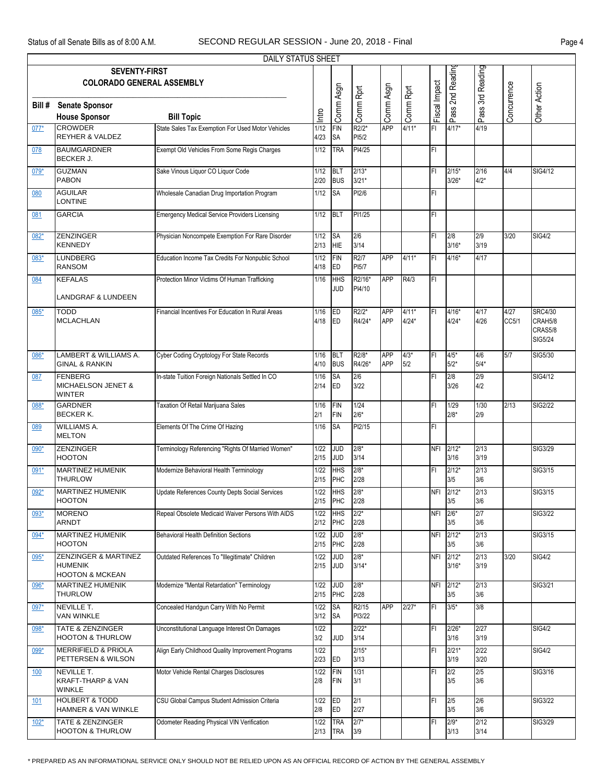|            |                                                                                 | <b>DAILY STATUS SHEET</b>                            |                |                          |                            |                          |                |                |                      |                  |               |                                                 |
|------------|---------------------------------------------------------------------------------|------------------------------------------------------|----------------|--------------------------|----------------------------|--------------------------|----------------|----------------|----------------------|------------------|---------------|-------------------------------------------------|
|            | <b>SEVENTY-FIRST</b><br><b>COLORADO GENERAL ASSEMBLY</b>                        |                                                      |                |                          |                            |                          |                |                | Pass 2nd Readin      | Pass 3rd Reading |               |                                                 |
| Bill #     | <b>Senate Sponsor</b><br><b>House Sponsor</b>                                   | <b>Bill Topic</b>                                    | Intro          | Comm Asgn                | Comm Rprt                  | Comm Asgn                | Comm Rprt      | Fiscal Impact  |                      |                  | Concurrence   | Other Action                                    |
| $077*$     | <b>CROWDER</b><br><b>REYHER &amp; VALDEZ</b>                                    | State Sales Tax Exemption For Used Motor Vehicles    | 1/12<br>4/23   | <b>FIN</b><br><b>SA</b>  | R2/2*<br>PI5/2             | <b>APP</b>               | $4/11*$        | F <sub>1</sub> | $4/17*$              | 4/19             |               |                                                 |
| 078        | <b>BAUMGARDNER</b><br><b>BECKER J.</b>                                          | Exempt Old Vehicles From Some Regis Charges          | $1/12$         | <b>TRA</b>               | PI4/25                     |                          |                | FI             |                      |                  |               |                                                 |
| $079*$     | <b>GUZMAN</b><br><b>PABON</b>                                                   | Sake Vinous Liquor CO Liquor Code                    | 1/12<br>2/20   | BLT<br><b>BUS</b>        | $2/13*$<br>$3/21*$         |                          |                | IFI            | $2/15*$<br>$3/26*$   | 2/16<br>$4/2*$   | 4/4           | SIG4/12                                         |
| 080        | <b>AGUILAR</b><br><b>LONTINE</b>                                                | Wholesale Canadian Drug Importation Program          | 1/12           | <b>SA</b>                | PI2/6                      |                          |                | FI             |                      |                  |               |                                                 |
| 081        | <b>GARCIA</b>                                                                   | <b>Emergency Medical Service Providers Licensing</b> | 1/12           | BLT                      | PI1/25                     |                          |                | FI             |                      |                  |               |                                                 |
| 082*       | ZENZINGER<br><b>KENNEDY</b>                                                     | Physician Noncompete Exemption For Rare Disorder     | 1/12<br>2/13   | <b>SA</b><br>HIE         | 2/6<br>3/14                |                          |                | IFI            | 2/8<br>$3/16*$       | 2/9<br>3/19      | 3/20          | <b>SIG4/2</b>                                   |
| 083*       | <b>LUNDBERG</b><br><b>RANSOM</b>                                                | Education Income Tax Credits For Nonpublic School    | 1/12<br>4/18   | FIN<br>ED                | R <sub>2</sub> /7<br>PI5/7 | <b>APP</b>               | 4/11*          | FI             | $4/16*$              | 4/17             |               |                                                 |
| 084        | <b>KEFALAS</b><br><b>LANDGRAF &amp; LUNDEEN</b>                                 | Protection Minor Victims Of Human Trafficking        | 1/16           | <b>HHS</b><br>JUD        | R2/16*<br>PI4/10           | <b>APP</b>               | R4/3           | IFI            |                      |                  |               |                                                 |
| 085*       | TODD<br><b>MCLACHLAN</b>                                                        | Financial Incentives For Education In Rural Areas    | 1/16<br>4/18   | ED<br>ED                 | R2/2*<br>R4/24*            | <b>APP</b><br><b>APP</b> | 4/11*<br>4/24* | ΙFΙ            | 4/16*<br>$4/24*$     | 4/17<br>4/26     | 4/27<br>CC5/1 | <b>SRC4/30</b><br>CRAH5/8<br>CRAS5/8<br>SIG5/24 |
| 086*       | LAMBERT & WILLIAMS A.<br>GINAL & RANKIN                                         | Cyber Coding Cryptology For State Records            | 1/16<br>4/10   | BLT<br><b>BUS</b>        | R2/8*<br>R4/26*            | <b>APP</b><br><b>APP</b> | $4/3*$<br>5/2  | FI             | $4/5*$<br>$5/2*$     | 4/6<br>$5/4*$    | 5/7           | SIG5/30                                         |
| 087        | <b>FENBERG</b><br>MICHAELSON JENET &<br><b>WINTER</b>                           | In-state Tuition Foreign Nationals Settled In CO     | $1/16$<br>2/14 | <b>SA</b><br>ED          | 2/6<br>3/22                |                          |                | FI             | 2/8<br>3/26          | 2/9<br>4/2       |               | SIG4/12                                         |
| 088*       | <b>GARDNER</b><br><b>BECKER K.</b>                                              | Taxation Of Retail Marijuana Sales                   | 1/16<br>2/1    | FIN<br>FIN               | 1/24<br>$2/6*$             |                          |                | ΙFΙ            | 1/29<br>$2/8*$       | 1/30<br>2/9      | 2/13          | <b>SIG2/22</b>                                  |
| 089        | <b>WILLIAMS A.</b><br><b>MELTON</b>                                             | Elements Of The Crime Of Hazing                      | 1/16           | <b>SA</b>                | PI2/15                     |                          |                | FI             |                      |                  |               |                                                 |
| $090*$     | ZENZINGER<br><b>HOOTON</b>                                                      | Terminology Referencing "Rights Of Married Women"    | 1/22<br>2/15   | <b>JUD</b><br><b>JUD</b> | $2/8*$<br>3/14             |                          |                |                | NFI 2/12*<br>3/16    | 2/13<br>3/19     |               | SIG3/29                                         |
| 091*       | <b>MARTINEZ HUMENIK</b><br><b>THURLOW</b>                                       | Modernize Behavioral Health Terminology              | 1/22<br>2/15   | <b>HHS</b><br>PHC        | $2/8*$<br>2/28             |                          |                | FI             | $2/12*$<br>3/5       | 2/13<br>3/6      |               | SIG3/15                                         |
| $092*$     | <b>MARTINEZ HUMENIK</b><br>HOOTON                                               | Update References County Depts Social Services       | 1/22<br>2/15   | <b>HHS</b><br>PHC        | $2/8*$<br>2/28             |                          |                | <b>NFI</b>     | $2/12*$<br>3/5       | 2/13<br>3/6      |               | SIG3/15                                         |
| $093*$     | <b>MORENO</b><br>ARNDT                                                          | Repeal Obsolete Medicaid Waiver Persons With AIDS    | 1/22<br>2/12   | <b>HHS</b><br>PHC        | $2/2*$<br>2/28             |                          |                | <b>NFI</b>     | $2/6*$<br>3/5        | 2/7<br>3/6       |               | <b>SIG3/22</b>                                  |
| 094*       | <b>MARTINEZ HUMENIK</b><br><b>HOOTON</b>                                        | <b>Behavioral Health Definition Sections</b>         | 1/22<br>2/15   | <b>JUD</b><br>PHC        | $2/8*$<br>2/28             |                          |                | <b>NFI</b>     | $2/12*$<br>3/5       | 2/13<br>3/6      |               | SIG3/15                                         |
| 095*       | <b>ZENZINGER &amp; MARTINEZ</b><br><b>HUMENIK</b><br><b>HOOTON &amp; MCKEAN</b> | Outdated References To "Illegitimate" Children       | 1/22<br>2/15   | <b>JUD</b><br><b>JUD</b> | $2/8*$<br>$3/14*$          |                          |                |                | NFI 2/12*<br>$3/16*$ | 2/13<br>3/19     | 3/20          | <b>SIG4/2</b>                                   |
| 096*       | <b>MARTINEZ HUMENIK</b><br><b>THURLOW</b>                                       | Modernize "Mental Retardation" Terminology           | 1/22<br>2/15   | <b>JUD</b><br>PHC        | $2/8*$<br>2/28             |                          |                |                | NFI 2/12*<br>3/5     | 2/13<br>3/6      |               | SIG3/21                                         |
| $097*$     | NEVILLE T.<br>VAN WINKLE                                                        | Concealed Handgun Carry With No Permit               | 1/22<br>3/12   | <b>SA</b><br><b>SA</b>   | R2/15<br>PI3/22            | APP                      | $2/27*$        | IFI            | $3/5*$               | 3/8              |               |                                                 |
| 098*       | TATE & ZENZINGER<br><b>HOOTON &amp; THURLOW</b>                                 | Unconstitutional Language Interest On Damages        | 1/22<br>3/2    | <b>JUD</b>               | $2/22*$<br>3/14            |                          |                | FI             | $2/26*$<br>3/16      | 2/27<br>3/19     |               | <b>SIG4/2</b>                                   |
| 099*       | <b>MERRIFIELD &amp; PRIOLA</b><br>PETTERSEN & WILSON                            | Align Early Childhood Quality Improvement Programs   | 1/22<br>2/23   | <b>IED</b>               | $2/15*$<br>3/13            |                          |                | FI             | $2/21*$<br>3/19      | 2/22<br>3/20     |               | <b>SIG4/2</b>                                   |
| <u>100</u> | NEVILLE T.<br>KRAFT-THARP & VAN<br><b>WINKLE</b>                                | Motor Vehicle Rental Charges Disclosures             | 1/22<br>2/8    | FIN<br>FIN               | 1/31<br>3/1                |                          |                | IFI            | 2/2<br>3/5           | 2/5<br>3/6       |               | SIG3/16                                         |
| 101        | <b>HOLBERT &amp; TODD</b><br><b>HAMNER &amp; VAN WINKLE</b>                     | CSU Global Campus Student Admission Criteria         | 1/22<br>2/8    | ED<br>ED                 | 2/1<br>2/27                |                          |                | FI             | 2/5<br>3/5           | 2/6<br>3/6       |               | SIG3/22                                         |
| $102*$     | TATE & ZENZINGER<br><b>HOOTON &amp; THURLOW</b>                                 | Odometer Reading Physical VIN Verification           | 1/22<br>2/13   | <b>TRA</b><br><b>TRA</b> | $2/7*$<br>3/9              |                          |                | FI             | $2/9*$<br>3/13       | 2/12<br>3/14     |               | SIG3/29                                         |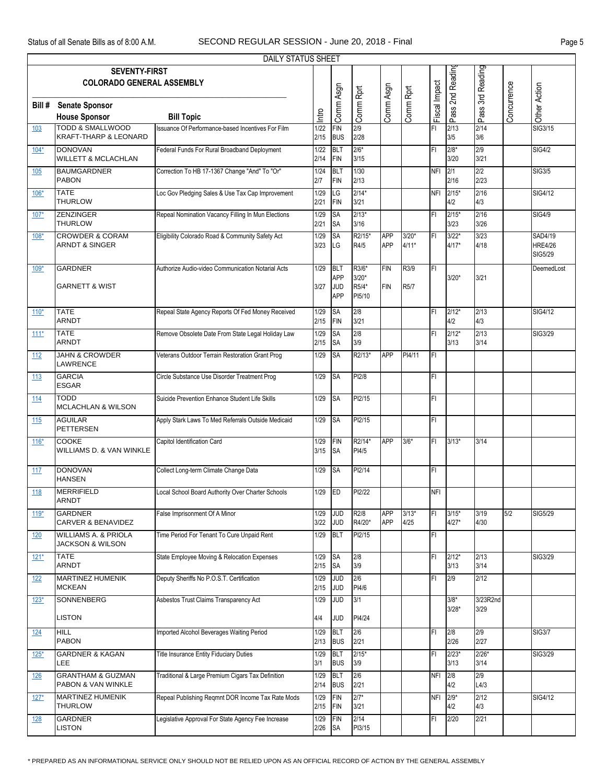|            |                                                                 | <b>DAILY STATUS SHEET</b>                          |                   |                                               |                                     |                          |                  |               |                    |                  |             |                                             |
|------------|-----------------------------------------------------------------|----------------------------------------------------|-------------------|-----------------------------------------------|-------------------------------------|--------------------------|------------------|---------------|--------------------|------------------|-------------|---------------------------------------------|
|            | <b>SEVENTY-FIRST</b>                                            |                                                    |                   |                                               |                                     |                          |                  |               |                    |                  |             |                                             |
|            | <b>COLORADO GENERAL ASSEMBLY</b>                                |                                                    |                   |                                               |                                     |                          |                  |               | Pass 2nd Reading   | Pass 3rd Reading |             |                                             |
|            |                                                                 |                                                    |                   | Comm Asgn                                     | Comm Rprt                           | Comm Asgn                | Comm Rprt        | Fiscal Impact |                    |                  | Concurrence | Other Action                                |
| Bill #     | <b>Senate Sponsor</b>                                           |                                                    |                   |                                               |                                     |                          |                  |               |                    |                  |             |                                             |
|            | <b>House Sponsor</b>                                            | <b>Bill Topic</b>                                  | Intro             |                                               |                                     |                          |                  |               |                    |                  |             |                                             |
| 103        | <b>TODD &amp; SMALLWOOD</b><br><b>KRAFT-THARP &amp; LEONARD</b> | Issuance Of Performance-based Incentives For Film  | 1/22<br>2/15      | <b>FIN</b><br><b>BUS</b>                      | 2/9<br>2/28                         |                          |                  | FI            | 2/13<br>3/5        | 2/14<br>3/6      |             | SIG3/15                                     |
| $104*$     | <b>DONOVAN</b><br><b>WILLETT &amp; MCLACHLAN</b>                | Federal Funds For Rural Broadband Deployment       | 1/22<br>2/14      | <b>BLT</b><br>FIN                             | $2/6*$<br>3/15                      |                          |                  | FI            | $2/8*$<br>3/20     | 2/9<br>3/21      |             | <b>SIG4/2</b>                               |
| 105        | <b>BAUMGARDNER</b><br><b>PABON</b>                              | Correction To HB 17-1367 Change "And" To "Or"      | 1/24<br>2/7       | BLT<br>FIN                                    | 1/30<br>2/13                        |                          |                  | <b>NFI</b>    | 2/1<br>2/16        | 2/2<br>2/23      |             | <b>SIG3/5</b>                               |
| $106*$     | <b>TATE</b><br><b>THURLOW</b>                                   | Loc Gov Pledging Sales & Use Tax Cap Improvement   | 1/29<br>2/21      | LG<br>FIN                                     | $2/14*$<br>3/21                     |                          |                  | <b>NFI</b>    | $2/15*$<br>4/2     | 2/16<br>4/3      |             | SIG4/12                                     |
| $107*$     | <b>ZENZINGER</b><br><b>THURLOW</b>                              | Repeal Nomination Vacancy Filling In Mun Elections | 1/29<br>2/21      | <b>SA</b><br><b>SA</b>                        | $2/13*$<br>3/16                     |                          |                  | FI            | $2/15*$<br>3/23    | 2/16<br>3/26     |             | <b>SIG4/9</b>                               |
| $108*$     | <b>CROWDER &amp; CORAM</b><br><b>ARNDT &amp; SINGER</b>         | Eligibility Colorado Road & Community Safety Act   | 1/29<br>3/23      | <b>SA</b><br>LG                               | R2/15*<br>R4/5                      | <b>APP</b><br><b>APP</b> | $3/20*$<br>4/11* | ΙFΙ           | $3/22*$<br>$4/17*$ | 3/23<br>4/18     |             | SAD4/19<br><b>HRE4/26</b><br><b>SIG5/29</b> |
| $109*$     | <b>GARDNER</b><br><b>GARNETT &amp; WIST</b>                     | Authorize Audio-video Communication Notarial Acts  | 1/29<br>3/27      | BLT<br><b>APP</b><br><b>JUD</b><br><b>APP</b> | R3/6*<br>$3/20*$<br>R5/4*<br>PI5/10 | <b>FIN</b><br><b>FIN</b> | R3/9<br>R5/7     | FI            | $3/20*$            | 3/21             |             | DeemedLost                                  |
| $110*$     | <b>TATE</b><br><b>ARNDT</b>                                     | Repeal State Agency Reports Of Fed Money Received  | 1/29<br>2/15      | <b>SA</b><br>FIN                              | 2/8<br>3/21                         |                          |                  | ΙFΙ           | $2/12*$<br>4/2     | 2/13<br>4/3      |             | SIG4/12                                     |
| $111*$     | <b>TATE</b><br><b>ARNDT</b>                                     | Remove Obsolete Date From State Legal Holiday Law  | 1/29<br>2/15      | <b>SA</b><br><b>SA</b>                        | 2/8<br>3/9                          |                          |                  | ΙFΙ           | $2/12*$<br>3/13    | 2/13<br>3/14     |             | SIG3/29                                     |
| 112        | <b>JAHN &amp; CROWDER</b><br><b>LAWRENCE</b>                    | Veterans Outdoor Terrain Restoration Grant Prog    | 1/29              | <b>SA</b>                                     | R2/13*                              | <b>APP</b>               | PI4/11           | FI            |                    |                  |             |                                             |
| 113        | <b>GARCIA</b><br><b>ESGAR</b>                                   | Circle Substance Use Disorder Treatment Prog       | 1/29              | <b>SA</b>                                     | PI2/8                               |                          |                  | FI            |                    |                  |             |                                             |
| 114        | <b>TODD</b><br><b>MCLACHLAN &amp; WILSON</b>                    | Suicide Prevention Enhance Student Life Skills     | 1/29              | <b>SA</b>                                     | PI2/15                              |                          |                  | ΙFΙ           |                    |                  |             |                                             |
| 115        | <b>AGUILAR</b><br><b>PETTERSEN</b>                              | Apply Stark Laws To Med Referrals Outside Medicaid | 1/29              | <b>SA</b>                                     | PI2/15                              |                          |                  | İΕL           |                    |                  |             |                                             |
| $116*$     | <b>COOKE</b><br>WILLIAMS D. & VAN WINKLE                        | Capitol Identification Card                        | 1/29<br>$3/15$ SA | FIN                                           | R2/14*<br>PI4/5                     | <b>APP</b>               | $3/6*$           | IFL           | $3/13*$            | 3/14             |             |                                             |
| 117        | <b>DONOVAN</b><br><b>HANSEN</b>                                 | Collect Long-term Climate Change Data              | 1/29              | <b>SA</b>                                     | PI2/14                              |                          |                  | FI            |                    |                  |             |                                             |
| 118        | <b>MERRIFIELD</b><br><b>ARNDT</b>                               | Local School Board Authority Over Charter Schools  | 1/29              | ED                                            | PI2/22                              |                          |                  | <b>NFI</b>    |                    |                  |             |                                             |
| $119*$     | <b>GARDNER</b><br><b>CARVER &amp; BENAVIDEZ</b>                 | False Imprisonment Of A Minor                      | 1/29<br>3/22      | <b>JUD</b><br><b>JUD</b>                      | R <sub>2</sub> /8<br>R4/20*         | <b>APP</b><br><b>APP</b> | $3/13*$<br>4/25  | FI            | $3/15*$<br>$4/27*$ | 3/19<br>4/30     | 5/2         | SIG5/29                                     |
| <u>120</u> | <b>WILLIAMS A. &amp; PRIOLA</b><br><b>JACKSON &amp; WILSON</b>  | Time Period For Tenant To Cure Unpaid Rent         | 1/29              | BLT                                           | PI2/15                              |                          |                  | FI            |                    |                  |             |                                             |
| $121*$     | <b>TATE</b><br><b>ARNDT</b>                                     | State Employee Moving & Relocation Expenses        | 1/29<br>2/15      | <b>SA</b><br><b>SA</b>                        | 2/8<br>3/9                          |                          |                  | FI            | $2/12*$<br>3/13    | 2/13<br>3/14     |             | SIG3/29                                     |
| <u>122</u> | <b>MARTINEZ HUMENIK</b><br><b>MCKEAN</b>                        | Deputy Sheriffs No P.O.S.T. Certification          | 1/29<br>2/15      | <b>JUD</b><br><b>JUD</b>                      | 2/6<br>PI4/6                        |                          |                  | FI            | 2/9                | 2/12             |             |                                             |
| $123*$     | SONNENBERG                                                      | Asbestos Trust Claims Transparency Act             | 1/29              | <b>JUD</b>                                    | 3/1                                 |                          |                  |               | $3/8*$<br>$3/28*$  | 3/23R2nd<br>3/29 |             |                                             |
|            | <b>LISTON</b>                                                   |                                                    | 4/4               | <b>JUD</b>                                    | PI4/24                              |                          |                  |               |                    |                  |             |                                             |
| <u>124</u> | <b>HILL</b><br><b>PABON</b>                                     | Imported Alcohol Beverages Waiting Period          | 1/29<br>2/13      | <b>BLT</b><br><b>BUS</b>                      | 2/6<br>2/21                         |                          |                  | FI            | 2/8<br>2/26        | 2/9<br>2/27      |             | <b>SIG3/7</b>                               |
| $125*$     | <b>GARDNER &amp; KAGAN</b><br>LEE                               | <b>Title Insurance Entity Fiduciary Duties</b>     | 1/29<br>3/1       | <b>BLT</b><br><b>BUS</b>                      | $2/15*$<br>3/9                      |                          |                  | FI            | $2/23*$<br>3/13    | $2/26*$<br>3/14  |             | SIG3/29                                     |
| 126        | <b>GRANTHAM &amp; GUZMAN</b><br>PABON & VAN WINKLE              | Traditional & Large Premium Cigars Tax Definition  | 1/29<br>2/14      | <b>BLT</b><br><b>BUS</b>                      | 2/6<br>2/21                         |                          |                  | <b>NFI</b>    | 2/8<br>4/2         | 2/9<br>L4/3      |             |                                             |
| $127*$     | MARTINEZ HUMENIK<br><b>THURLOW</b>                              | Repeal Publishing Reqmnt DOR Income Tax Rate Mods  | 1/29<br>2/15      | FIN<br>FIN                                    | $2/7*$<br>3/21                      |                          |                  | <b>NFI</b>    | $2/9*$<br>4/2      | 2/12<br>4/3      |             | SIG4/12                                     |
| <u>128</u> | <b>GARDNER</b><br><b>LISTON</b>                                 | Legislative Approval For State Agency Fee Increase | 1/29<br>2/26      | FIN<br><b>SA</b>                              | 2/14<br>PI3/15                      |                          |                  | FI            | 2/20               | 2/21             |             |                                             |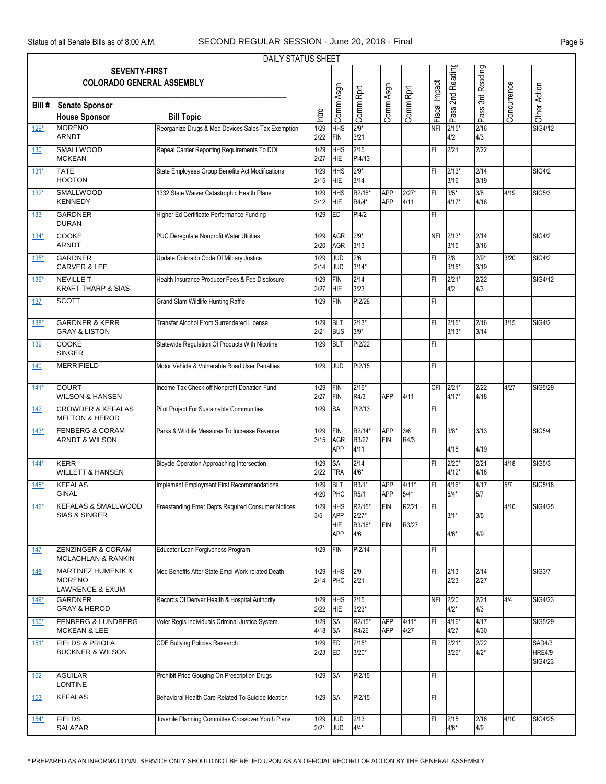|            |                                                                              | DAILY STATUS SHEET                                 |              |                                                      |                                    |                          |                   |               |                    |                  |             |                                           |
|------------|------------------------------------------------------------------------------|----------------------------------------------------|--------------|------------------------------------------------------|------------------------------------|--------------------------|-------------------|---------------|--------------------|------------------|-------------|-------------------------------------------|
|            | <b>SEVENTY-FIRST</b><br><b>COLORADO GENERAL ASSEMBLY</b>                     |                                                    |              |                                                      |                                    |                          |                   |               | 2nd Reading        | Pass 3rd Reading |             |                                           |
| Bill #     | <b>Senate Sponsor</b><br><b>House Sponsor</b>                                | <b>Bill Topic</b>                                  | Intro        | Comm Asgn                                            | Comm Rprt                          | Comm Asgn                | Comm Rprt         | Fiscal Impact | Pass?              |                  | Concurrence | Other Action                              |
| $129*$     | <b>MORENO</b><br><b>ARNDT</b>                                                | Reorganize Drugs & Med Devices Sales Tax Exemption | 1/29<br>2/22 | <b>HHS</b><br><b>FIN</b>                             | $2/9*$<br>3/21                     |                          |                   | NFI           | $2/15*$<br>4/2     | 2/16<br>4/3      |             | SIG4/12                                   |
| 130        | <b>SMALLWOOD</b><br><b>MCKEAN</b>                                            | Repeal Carrier Reporting Requirements To DOI       | 1/29<br>2/27 | <b>HHS</b><br><b>HIE</b>                             | 2/15<br>PI4/13                     |                          |                   | FI            | 2/21               | 2/22             |             |                                           |
| $131*$     | <b>TATE</b><br><b>HOOTON</b>                                                 | State Employees Group Benefits Act Modifications   | 1/29<br>2/15 | <b>HHS</b><br><b>HIE</b>                             | $2/9*$<br>3/14                     |                          |                   | FI            | $2/13*$<br>3/16    | 2/14<br>3/19     |             | <b>SIG4/2</b>                             |
| $132*$     | <b>SMALLWOOD</b><br><b>KENNEDY</b>                                           | 1332 State Waiver Catastrophic Health Plans        | 1/29<br>3/12 | <b>HHS</b><br><b>HIE</b>                             | R2/16*<br>R4/4*                    | <b>APP</b><br><b>APP</b> | $2/27*$<br>4/11   | FI            | $3/5*$<br>4/17*    | 3/8<br>4/18      | 4/19        | SIG5/3                                    |
| 133        | <b>GARDNER</b><br><b>DURAN</b>                                               | Higher Ed Certificate Performance Funding          | 1/29         | ED                                                   | PI4/2                              |                          |                   | FI            |                    |                  |             |                                           |
| $134*$     | COOKE<br><b>ARNDT</b>                                                        | PUC Deregulate Nonprofit Water Utilities           | 1/29<br>2/20 | <b>AGR</b><br><b>AGR</b>                             | $2/9*$<br>3/13                     |                          |                   |               | NFI 2/13*<br>3/15  | 2/14<br>3/16     |             | <b>SIG4/2</b>                             |
| $135*$     | <b>GARDNER</b><br><b>CARVER &amp; LEE</b>                                    | Update Colorado Code Of Military Justice           | 1/29<br>2/14 | <b>JUD</b><br><b>JUD</b>                             | $\overline{2/6}$<br>$3/14*$        |                          |                   | FI            | 2/8<br>3/16*       | $2/9*$<br>3/19   | 3/20        | <b>SIG4/2</b>                             |
| 136*       | <b>NEVILLE T.</b><br><b>KRAFT-THARP &amp; SIAS</b>                           | Health Insurance Producer Fees & Fee Disclosure    | 1/29<br>2/27 | FIN<br><b>HIE</b>                                    | 2/14<br>3/23                       |                          |                   | FI            | $2/21*$<br>4/2     | 2/22<br>4/3      |             | SIG4/12                                   |
| 137        | <b>SCOTT</b>                                                                 | <b>Grand Slam Wildlife Hunting Raffle</b>          | 1/29         | <b>FIN</b>                                           | PI2/28                             |                          |                   | FI            |                    |                  |             |                                           |
| $138*$     | <b>GARDNER &amp; KERR</b><br><b>GRAY &amp; LISTON</b>                        | Transfer Alcohol From Surrendered License          | 1/29<br>2/21 | <b>BLT</b><br><b>BUS</b>                             | $2/13*$<br>$3/9*$                  |                          |                   | FI            | $2/15*$<br>$3/13*$ | 2/16<br>3/14     | 3/15        | SIG4/2                                    |
| 139        | <b>COOKE</b><br><b>SINGER</b>                                                | Statewide Regulation Of Products With Nicotine     | 1/29         | <b>BLT</b>                                           | PI2/22                             |                          |                   | FI            |                    |                  |             |                                           |
| 140        | <b>MERRIFIELD</b>                                                            | Motor Vehicle & Vulnerable Road User Penalties     | 1/29         | <b>JUD</b>                                           | PI2/15                             |                          |                   | FI            |                    |                  |             |                                           |
| $141*$     | <b>COURT</b><br><b>WILSON &amp; HANSEN</b>                                   | Income Tax Check-off Nonprofit Donation Fund       | 1/29<br>2/27 | <b>FIN</b><br><b>FIN</b>                             | $2/16*$<br>R4/3                    | <b>APP</b>               | 4/11              | <b>CFI</b>    | $2/21*$<br>$4/17*$ | 2/22<br>4/18     | 4/27        | <b>SIG5/29</b>                            |
| 142        | <b>CROWDER &amp; KEFALAS</b><br><b>MELTON &amp; HEROD</b>                    | Pilot Project For Sustainable Communities          | 1/29         | <b>SA</b>                                            | PI2/13                             |                          |                   | FI            |                    |                  |             |                                           |
| $143*$     | <b>FENBERG &amp; CORAM</b><br><b>ARNDT &amp; WILSON</b>                      | Parks & Wildlife Measures To Increase Revenue      | 1/29<br>3/15 | FIN<br>AGR<br><b>APP</b>                             | R2/14*<br>R3/27<br>4/11            | <b>APP</b><br><b>FIN</b> | 3/6<br>R4/3       | İΕL           | $3/8*$<br>4/18     | 3/13<br>4/19     |             | <b>SIG5/4</b>                             |
| $144*$     | <b>KERR</b><br><b>WILLETT &amp; HANSEN</b>                                   | <b>Bicycle Operation Approaching Intersection</b>  | 1/29<br>2/22 | <b>SA</b><br><b>TRA</b>                              | 2/14<br>$4/6*$                     |                          |                   | FI            | $2/20*$<br>$4/12*$ | 2/21<br>4/16     | 4/18        | <b>SIG5/3</b>                             |
| $145*$     | <b>KEFALAS</b><br><b>GINAL</b>                                               | Implement Employment First Recommendations         | 1/29<br>4/20 | <b>BLT</b><br>PHC                                    | R3/1*<br>R5/1                      | <b>APP</b><br><b>APP</b> | $4/11*$<br>$5/4*$ | FI            | 4/16*<br>5/4*      | 4/17<br>5/7      | 5/7         | SIG5/18                                   |
| $146*$     | <b>KEFALAS &amp; SMALLWOOD</b><br><b>SIAS &amp; SINGER</b>                   | Freestanding Emer Depts Required Consumer Notices  | 1/29<br>3/5  | <b>HHS</b><br><b>APP</b><br><b>HIE</b><br><b>APP</b> | R2/15*<br>$2/27*$<br>R3/16*<br>4/6 | <b>FIN</b><br><b>FIN</b> | R2/21<br>R3/27    | FI            | $3/1*$<br>4/6*     | 3/5<br>4/9       | 4/10        | <b>SIG4/25</b>                            |
| <u>147</u> | <b>ZENZINGER &amp; CORAM</b><br><b>MCLACHLAN &amp; RANKIN</b>                | Educator Loan Forgiveness Program                  | 1/29         | FIN                                                  | PI2/14                             |                          |                   | FI            |                    |                  |             |                                           |
| 148        | <b>MARTINEZ HUMENIK &amp;</b><br><b>MORENO</b><br><b>LAWRENCE &amp; EXUM</b> | Med Benefits After State Empl Work-related Death   | 1/29<br>2/14 | <b>HHS</b><br>PHC                                    | 2/9<br>2/21                        |                          |                   | FI            | 2/13<br>2/23       | 2/14<br>2/27     |             | <b>SIG3/7</b>                             |
| $149*$     | <b>GARDNER</b><br><b>GRAY &amp; HEROD</b>                                    | Records Of Denver Health & Hospital Authority      | 1/29<br>2/22 | <b>HHS</b><br><b>HIE</b>                             | 2/15<br>$3/23*$                    |                          |                   | <b>NFI</b>    | 2/20<br>$4/2*$     | 2/21<br>4/3      | 4/4         | SIG4/23                                   |
| $150*$     | <b>FENBERG &amp; LUNDBERG</b><br><b>MCKEAN &amp; LEE</b>                     | Voter Regis Individuals Criminal Justice System    | 1/29<br>4/18 | <b>SA</b><br><b>SA</b>                               | R2/15*<br>R4/26                    | APP<br><b>APP</b>        | $4/11*$<br>4/27   | FI            | $4/16*$<br>4/27    | 4/17<br>4/30     |             | <b>SIG5/29</b>                            |
| $151*$     | <b>FIELDS &amp; PRIOLA</b><br><b>BUCKNER &amp; WILSON</b>                    | <b>CDE Bullying Policies Research</b>              | 1/29<br>2/23 | ED<br>ED                                             | $2/15*$<br>$3/20*$                 |                          |                   | FI            | $2/21*$<br>$3/26*$ | 2/22<br>$4/2*$   |             | <b>SAD4/3</b><br><b>HRE4/9</b><br>SIG4/23 |
| 152        | <b>AGUILAR</b><br>LONTINE                                                    | Prohibit Price Gouging On Prescription Drugs       | 1/29         | <b>SA</b>                                            | PI2/15                             |                          |                   | FI            |                    |                  |             |                                           |
| 153        | <b>KEFALAS</b>                                                               | Behavioral Health Care Related To Suicide Ideation | 1/29         | <b>SA</b>                                            | PI2/15                             |                          |                   | FI            |                    |                  |             |                                           |
| $154*$     | <b>FIELDS</b><br>SALAZAR                                                     | Juvenile Planning Committee Crossover Youth Plans  | 1/29<br>2/21 | <b>JUD</b><br><b>JUD</b>                             | 2/13<br>$4/4*$                     |                          |                   | FI            | 2/15<br>$4/6*$     | 2/16<br>4/9      | 4/10        | SIG4/25                                   |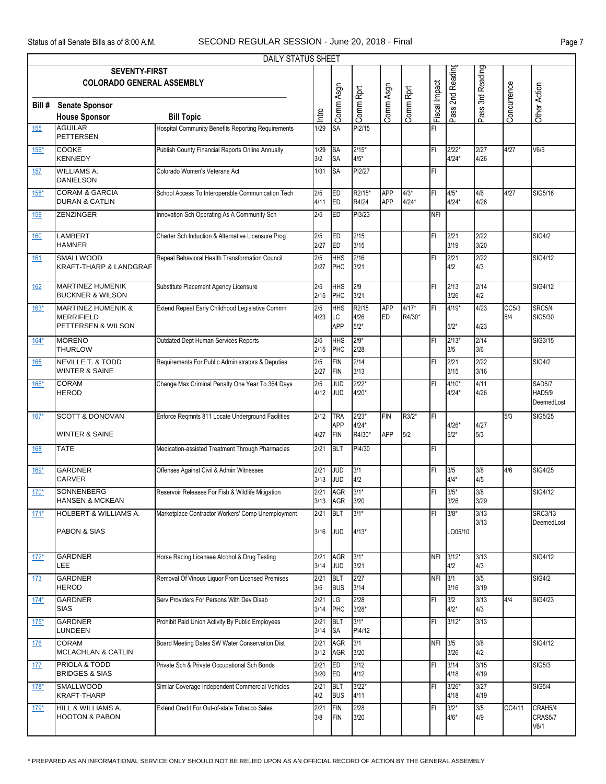|            |                                                                          | DAILY STATUS SHEET                                        |              |                                 |                              |                          |                   |               |                    |                  |              |                                       |
|------------|--------------------------------------------------------------------------|-----------------------------------------------------------|--------------|---------------------------------|------------------------------|--------------------------|-------------------|---------------|--------------------|------------------|--------------|---------------------------------------|
|            | <b>SEVENTY-FIRST</b><br><b>COLORADO GENERAL ASSEMBLY</b>                 |                                                           |              |                                 |                              |                          |                   |               | Pass 2nd Reading   | Pass 3rd Reading |              |                                       |
| Bill #     | <b>Senate Sponsor</b><br><b>House Sponsor</b>                            | <b>Bill Topic</b>                                         | Intro        | Comm Asgn                       | Comm Rprt                    | Comm Asgn                | Comm Rprt         | Fiscal Impact |                    |                  | Concurrence  | Other Action                          |
| 155        | <b>AGUILAR</b><br><b>PETTERSEN</b>                                       | <b>Hospital Community Benefits Reporting Requirements</b> | 1/29         | <b>SA</b>                       | PI2/15                       |                          |                   | FI            |                    |                  |              |                                       |
| $156*$     | <b>COOKE</b><br><b>KENNEDY</b>                                           | Publish County Financial Reports Online Annually          | 1/29<br>3/2  | <b>SA</b><br><b>SA</b>          | $2/15*$<br>$4/5*$            |                          |                   | ΙFΙ           | $2/22*$<br>4/24*   | 2/27<br>4/26     | 4/27         | V6/5                                  |
| 157        | <b>WILLIAMS A.</b><br><b>DANIELSON</b>                                   | Colorado Women's Veterans Act                             | 1/31         | <b>SA</b>                       | PI2/27                       |                          |                   | FI            |                    |                  |              |                                       |
| $158*$     | <b>CORAM &amp; GARCIA</b><br><b>DURAN &amp; CATLIN</b>                   | School Access To Interoperable Communication Tech         | 2/5<br>4/11  | ED<br>ED                        | R2/15*<br>R4/24              | <b>APP</b><br><b>APP</b> | $4/3*$<br>$4/24*$ | ΙFΙ           | $4/5*$<br>$4/24*$  | 4/6<br>4/26      | 4/27         | SIG5/16                               |
| 159        | <b>ZENZINGER</b>                                                         | Innovation Sch Operating As A Community Sch               | 2/5          | ED                              | PI3/23                       |                          |                   | <b>NFI</b>    |                    |                  |              |                                       |
| <u>160</u> | <b>LAMBERT</b><br><b>HAMNER</b>                                          | Charter Sch Induction & Alternative Licensure Prog        | 2/5<br>2/27  | ED<br>ED                        | 2/15<br>3/15                 |                          |                   | FI            | 2/21<br>3/19       | 2/22<br>3/20     |              | <b>SIG4/2</b>                         |
| <u>161</u> | <b>SMALLWOOD</b><br><b>KRAFT-THARP &amp; LANDGRAF</b>                    | Repeal Behavioral Health Transformation Council           | 2/5<br>2/27  | <b>HHS</b><br>PHC               | 2/16<br>3/21                 |                          |                   | ΙFΙ           | 2/21<br>4/2        | 2/22<br>4/3      |              | SIG4/12                               |
| <u>162</u> | <b>MARTINEZ HUMENIK</b><br><b>BUCKNER &amp; WILSON</b>                   | Substitute Placement Agency Licensure                     | 2/5<br>2/15  | <b>HHS</b><br>PHC               | 2/9<br>3/21                  |                          |                   | İΕL           | 2/13<br>3/26       | 2/14<br>4/2      |              | SIG4/12                               |
| $163*$     | <b>MARTINEZ HUMENIK &amp;</b><br><b>MERRIFIELD</b><br>PETTERSEN & WILSON | Extend Repeal Early Childhood Legislative Commn           | 2/5<br>4/23  | <b>HHS</b><br>LC<br><b>APP</b>  | R2/15<br>4/26<br>$5/2*$      | <b>APP</b><br><b>ED</b>  | $4/17*$<br>R4/30* | FI            | 4/19*<br>$5/2*$    | 4/23<br>4/23     | CC5/3<br>5/4 | <b>SRC5/4</b><br>SIG5/30              |
| $164*$     | <b>MORENO</b><br><b>THURLOW</b>                                          | Outdated Dept Human Services Reports                      | 2/5<br>2/15  | <b>HHS</b><br>PHC               | $2/9*$<br>2/28               |                          |                   | FI            | $2/13*$<br>3/5     | 2/14<br>3/6      |              | SIG3/15                               |
| 165        | <b>NEVILLE T. &amp; TODD</b><br><b>WINTER &amp; SAINE</b>                | Requirements For Public Administrators & Deputies         | 2/5<br>2/27  | FIN<br>FIN                      | 2/14<br>3/13                 |                          |                   | ΙFΙ           | 2/21<br>3/15       | 2/22<br>3/16     |              | <b>SIG4/2</b>                         |
| $166*$     | <b>CORAM</b><br><b>HEROD</b>                                             | Change Max Criminal Penalty One Year To 364 Days          | 2/5<br>4/12  | <b>JUD</b><br><b>JUD</b>        | $2/22*$<br>$4/20*$           |                          |                   | FI            | $4/10*$<br>$4/24*$ | 4/11<br>4/26     |              | <b>SAD5/7</b><br>HAD5/9<br>DeemedLost |
| $167*$     | <b>SCOTT &amp; DONOVAN</b><br><b>WINTER &amp; SAINE</b>                  | Enforce Regmnts 811 Locate Underground Facilities         | 2/12<br>4/27 | <b>TRA</b><br><b>APP</b><br>FIN | $2/23*$<br>$4/24*$<br>R4/30* | <b>FIN</b><br><b>APP</b> | R3/2*<br>5/2      | IFI           | 4/26*<br>$5/2*$    | 4/27<br>5/3      | 5/3          | SIG5/25                               |
| 168        | <b>TATE</b>                                                              | Medication-assisted Treatment Through Pharmacies          | 2/21         | BLT                             | PI4/30                       |                          |                   | IFI           |                    |                  |              |                                       |
| $169*$     | <b>GARDNER</b><br><b>CARVER</b>                                          | Offenses Against Civil & Admin Witnesses                  | 2/21<br>3/13 | <b>JUD</b><br>JUD               | 3/1<br>4/2                   |                          |                   | ΙFΙ           | 3/5<br>$4/4*$      | 3/8<br>4/5       | 4/6          | SIG4/25                               |
| $170*$     | <b>SONNENBERG</b><br><b>HANSEN &amp; MCKEAN</b>                          | Reservoir Releases For Fish & Wildlife Mitigation         | 2/21<br>3/13 | <b>AGR</b><br>AGR               | $3/1*$<br>3/20               |                          |                   | ΙFΙ           | $3/5*$<br>3/26     | 3/8<br>3/29      |              | SIG4/12                               |
| $171*$     | <b>HOLBERT &amp; WILLIAMS A.</b><br>PABON & SIAS                         | Marketplace Contractor Workers' Comp Unemployment         | 2/21<br>3/16 | BLT<br>JUD                      | $3/1*$<br>$4/13*$            |                          |                   | FI            | $3/8*$<br>LO05/10  | 3/13<br>3/13     |              | <b>SRC3/13</b><br>DeemedLost          |
| $172*$     | <b>GARDNER</b><br>LEE.                                                   | Horse Racing Licensee Alcohol & Drug Testing              | 2/21<br>3/14 | AGR<br><b>JUD</b>               | $3/1*$<br>3/21               |                          |                   |               | NFI 3/12*<br>4/2   | 3/13<br>4/3      |              | SIG4/12                               |
| <u>173</u> | <b>GARDNER</b><br><b>HEROD</b>                                           | Removal Of Vinous Liquor From Licensed Premises           | 2/21<br>3/5  | <b>BLT</b><br><b>BUS</b>        | 2/27<br>3/14                 |                          |                   | <b>NFI</b>    | 3/1<br>3/16        | 3/5<br>3/19      |              | <b>SIG4/2</b>                         |
| $174*$     | <b>GARDNER</b><br><b>SIAS</b>                                            | Serv Providers For Persons With Dev Disab                 | 2/21<br>3/14 | LG<br>PHC                       | 2/28<br>$3/28*$              |                          |                   | ΙFΙ           | 3/2<br>$4/2*$      | 3/13<br>4/3      | 4/4          | <b>SIG4/23</b>                        |
| $175*$     | <b>GARDNER</b><br>LUNDEEN                                                | Prohibit Paid Union Activity By Public Employees          | 2/21<br>3/14 | BLT<br><b>SA</b>                | $3/1*$<br>PI4/12             |                          |                   | ΙFΙ           | $3/12*$            | 3/13             |              |                                       |
| 176        | <b>CORAM</b><br>MCLACHLAN & CATLIN                                       | Board Meeting Dates SW Water Conservation Dist            | 2/21<br>3/12 | <b>AGR</b><br><b>AGR</b>        | 3/1<br>3/20                  |                          |                   | NFI 3/5       | 3/26               | 3/8<br>4/2       |              | SIG4/12                               |
| 177        | PRIOLA & TODD<br><b>BRIDGES &amp; SIAS</b>                               | Private Sch & Private Occupational Sch Bonds              | 2/21<br>3/20 | ED<br>ED                        | 3/12<br>4/12                 |                          |                   | ΙFΙ           | $3/14$<br>4/18     | 3/15<br>4/19     |              | SIG5/3                                |
| $178*$     | <b>SMALLWOOD</b><br><b>KRAFT-THARP</b>                                   | Similar Coverage Independent Commercial Vehicles          | 2/21<br>4/2  | <b>BLT</b><br><b>BUS</b>        | $3/22*$<br>4/11              |                          |                   | ΙFΙ           | 3/26*<br>4/18      | 3/27<br>4/19     |              | <b>SIG5/4</b>                         |
| $179*$     | HILL & WILLIAMS A.<br><b>HOOTON &amp; PABON</b>                          | Extend Credit For Out-of-state Tobacco Sales              | 2/21<br>3/8  | FIN<br>FIN                      | 2/28<br>3/20                 |                          |                   | ΙFΙ           | $3/2*$<br>$4/6*$   | 3/5<br>4/9       | CC4/11       | CRAH5/4<br>CRAS5/7<br>V6/1            |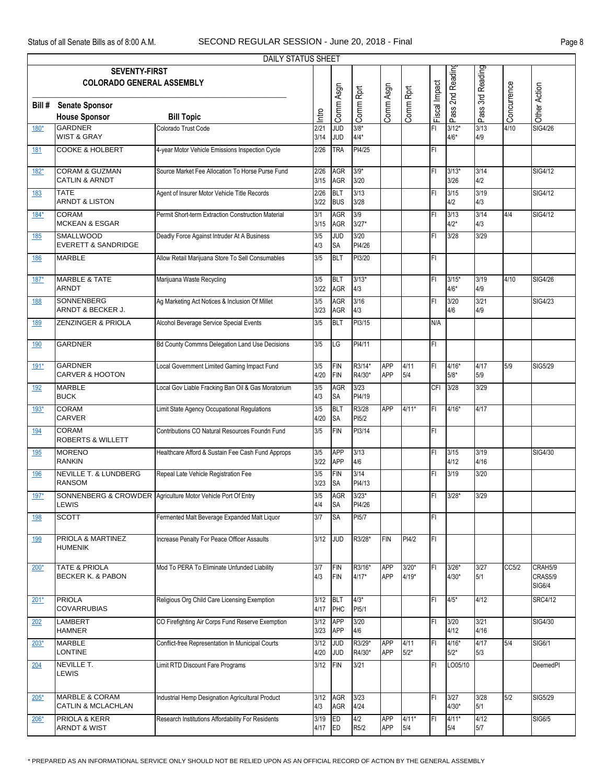|             |                                                        | DAILY STATUS SHEET                                           |              |                          |                  |                          |                |               |                   |                  |             |                |
|-------------|--------------------------------------------------------|--------------------------------------------------------------|--------------|--------------------------|------------------|--------------------------|----------------|---------------|-------------------|------------------|-------------|----------------|
|             | <b>SEVENTY-FIRST</b>                                   |                                                              |              |                          |                  |                          |                |               | Pass 2nd Reading  | Pass 3rd Reading |             |                |
|             | <b>COLORADO GENERAL ASSEMBLY</b>                       |                                                              |              |                          |                  |                          |                |               |                   |                  |             |                |
|             |                                                        |                                                              |              | Comm Asgn                | Comm Rprt        | Comm Asgn                | Comm Rprt      | Fiscal Impact |                   |                  | Concurrence | Other Action   |
| Bill #      | <b>Senate Sponsor</b>                                  |                                                              |              |                          |                  |                          |                |               |                   |                  |             |                |
|             | <b>House Sponsor</b>                                   | <b>Bill Topic</b>                                            | Intro        |                          |                  |                          |                |               |                   |                  |             |                |
| $180*$      | <b>GARDNER</b>                                         | Colorado Trust Code                                          | 2/21         | <b>JUD</b>               | $3/8*$           |                          |                | FI            | $3/12*$           | 3/13             | 4/10        | <b>SIG4/26</b> |
|             | <b>WIST &amp; GRAY</b>                                 |                                                              | 3/14         | <b>JUD</b>               | $4/4*$           |                          |                |               | $4/6*$            | 4/9              |             |                |
| 181         | <b>COOKE &amp; HOLBERT</b>                             | 4-year Motor Vehicle Emissions Inspection Cycle              | 2/26         | <b>TRA</b>               | PI4/25           |                          |                | FI            |                   |                  |             |                |
| $182*$      | <b>CORAM &amp; GUZMAN</b><br><b>CATLIN &amp; ARNDT</b> | Source Market Fee Allocation To Horse Purse Fund             | 2/26<br>3/15 | <b>AGR</b><br><b>AGR</b> | $3/9*$<br>3/20   |                          |                | ΙFΙ           | $3/13*$<br>3/26   | 3/14<br>4/2      |             | SIG4/12        |
| 183         | <b>TATE</b>                                            | Agent of Insurer Motor Vehicle Title Records                 | 2/26         | <b>BLT</b>               | 3/13             |                          |                | ΙFΙ           | 3/15              | 3/19             |             | SIG4/12        |
|             | <b>ARNDT &amp; LISTON</b>                              |                                                              | 3/22         | <b>BUS</b>               | 3/28             |                          |                |               | 4/2               | 4/3              |             |                |
| $184*$      | <b>CORAM</b><br><b>MCKEAN &amp; ESGAR</b>              | Permit Short-term Extraction Construction Material           | 3/1<br>3/15  | <b>AGR</b><br>AGR        | 3/9<br>$3/27*$   |                          |                | FI            | 3/13<br>$4/2*$    | 3/14<br>4/3      | 4/4         | SIG4/12        |
| <u>185</u>  | <b>SMALLWOOD</b><br><b>EVERETT &amp; SANDRIDGE</b>     | Deadly Force Against Intruder At A Business                  | 3/5<br>4/3   | <b>JUD</b><br><b>SA</b>  | 3/20<br>PI4/26   |                          |                | FI            | 3/28              | 3/29             |             |                |
| <u>186</u>  | <b>MARBLE</b>                                          | Allow Retail Marijuana Store To Sell Consumables             | 3/5          | <b>BLT</b>               | PI3/20           |                          |                | İΕL           |                   |                  |             |                |
|             |                                                        |                                                              |              |                          |                  |                          |                |               |                   |                  |             |                |
| $187*$      | <b>MARBLE &amp; TATE</b><br><b>ARNDT</b>               | Marijuana Waste Recycling                                    | 3/5<br>3/22  | <b>BLT</b><br>AGR        | $3/13*$<br>4/3   |                          |                | FI            | $3/15*$<br>$4/6*$ | 3/19<br>4/9      | 4/10        | SIG4/26        |
|             | <b>SONNENBERG</b>                                      | Ag Marketing Act Notices & Inclusion Of Millet               | 3/5          | <b>AGR</b>               | 3/16             |                          |                | ΙFΙ           | 3/20              | 3/21             |             | <b>SIG4/23</b> |
| 188         | ARNDT & BECKER J.                                      |                                                              | 3/23         | <b>AGR</b>               | 4/3              |                          |                |               | 4/6               | 4/9              |             |                |
| 189         | ZENZINGER & PRIOLA                                     | Alcohol Beverage Service Special Events                      | 3/5          | <b>BLT</b>               | PI3/15           |                          |                | N/A           |                   |                  |             |                |
|             |                                                        |                                                              |              |                          |                  |                          |                |               |                   |                  |             |                |
| 190         | <b>GARDNER</b>                                         | <b>Bd County Commns Delegation Land Use Decisions</b>        | 3/5          | LG                       | PI4/11           |                          |                | FI            |                   |                  |             |                |
| $191*$      | <b>GARDNER</b>                                         | Local Government Limited Gaming Impact Fund                  | 3/5          | FIN                      | R3/14*           | <b>APP</b>               | 4/11           | FI            | 4/16*             | 4/17             | 5/9         | SIG5/29        |
|             | <b>CARVER &amp; HOOTON</b>                             |                                                              | 4/20         | FIN                      | R4/30*           | <b>APP</b>               | 5/4            |               | 5/8*              | 5/9              |             |                |
| 192         | <b>MARBLE</b><br><b>BUCK</b>                           | Local Gov Liable Fracking Ban Oil & Gas Moratorium           | 3/5<br>4/3   | AGR<br><b>SA</b>         | 3/23<br>PI4/19   |                          |                | <b>CFI</b>    | 3/28              | 3/29             |             |                |
| $193*$      | <b>CORAM</b><br><b>CARVER</b>                          | Limit State Agency Occupational Regulations                  | 3/5<br>4/20  | <b>BLT</b><br><b>SA</b>  | R3/28<br>PI5/2   | <b>APP</b>               | $4/11*$        | IFI           | $4/16*$           | 4/17             |             |                |
| <u>194</u>  | <b>CORAM</b><br><b>ROBERTS &amp; WILLETT</b>           | Contributions CO Natural Resources Foundn Fund               | 3/5          | <b>FIN</b>               | PI3/14           |                          |                | ΙFΙ           |                   |                  |             |                |
| <u> 195</u> | <b>MORENO</b>                                          | Healthcare Afford & Sustain Fee Cash Fund Approps            | 3/5          | <b>APP</b>               | 3/13             |                          |                | IFI           | 3/15              | 3/19             |             | SIG4/30        |
|             | <b>RANKIN</b>                                          |                                                              | 3/22         | APP                      | 4/6              |                          |                |               | 4/12              | 4/16             |             |                |
| <u>196</u>  | NEVILLE T. & LUNDBERG<br><b>RANSOM</b>                 | Repeal Late Vehicle Registration Fee                         | 3/5<br>3/23  | FIN<br><b>SA</b>         | 3/14<br>PI4/13   |                          |                | ΙFΙ           | 3/19              | 3/20             |             |                |
| $197*$      |                                                        | SONNENBERG & CROWDER Agriculture Motor Vehicle Port Of Entry | 3/5          | <b>AGR</b>               | $3/23*$          |                          |                | İΕL           | $3/28*$           | 3/29             |             |                |
|             | LEWIS                                                  |                                                              | 4/4          | <b>SA</b>                | PI4/26           |                          |                |               |                   |                  |             |                |
| 198         | <b>SCOTT</b>                                           | Fermented Malt Beverage Expanded Malt Liquor                 | 3/7          | <b>SA</b>                | PI5/7            |                          |                | FI            |                   |                  |             |                |
| <u>199</u>  | PRIOLA & MARTINEZ                                      | Increase Penalty For Peace Officer Assaults                  | 3/12         | JUD                      | R3/28*           | FIN                      | PI4/2          | FI            |                   |                  |             |                |
|             | <b>HUMENIK</b>                                         |                                                              |              |                          |                  |                          |                |               |                   |                  |             |                |
| $200*$      | <b>TATE &amp; PRIOLA</b>                               | Mod To PERA To Eliminate Unfunded Liability                  | 3/7          | FIN                      | R3/16*           | <b>APP</b>               | $3/20*$        | ΙFΙ           | $3/26*$           | 3/27             | CC5/2       | CRAH5/9        |
|             | <b>BECKER K. &amp; PABON</b>                           |                                                              | 4/3          | FIN                      | $4/17*$          | <b>APP</b>               | $4/19*$        |               | 4/30*             | 5/1              |             | CRAS5/9        |
|             |                                                        |                                                              |              |                          |                  |                          |                |               |                   |                  |             | <b>SIG6/4</b>  |
| $201*$      | <b>PRIOLA</b>                                          | Religious Org Child Care Licensing Exemption                 | 3/12         | <b>BLT</b>               | $4/3*$           |                          |                | IFL           | $4/5*$            | 4/12             |             | <b>SRC4/12</b> |
|             | <b>COVARRUBIAS</b>                                     |                                                              | 4/17         | PHC                      | PI5/1            |                          |                |               |                   |                  |             |                |
| 202         | <b>LAMBERT</b><br><b>HAMNER</b>                        | CO Firefighting Air Corps Fund Reserve Exemption             | 3/12<br>3/23 | APP<br>APP               | 3/20<br>4/6      |                          |                | ΙFΙ           | 3/20<br>4/12      | 3/21<br>4/16     |             | SIG4/30        |
| $203*$      | <b>MARBLE</b><br><b>LONTINE</b>                        | Conflict-free Representation In Municipal Courts             | 3/12<br>4/20 | <b>JUD</b><br><b>JUD</b> | R3/29*<br>R4/30* | <b>APP</b><br><b>APP</b> | 4/11<br>$5/2*$ | ΙFΙ           | 4/16*<br>$5/2*$   | 4/17<br>5/3      | 5/4         | SIG6/1         |
| 204         | NEVILLE T.                                             | Limit RTD Discount Fare Programs                             | 3/12         | FIN                      | 3/21             |                          |                | FI            | LO05/10           |                  |             | DeemedPI       |
|             | <b>LEWIS</b>                                           |                                                              |              |                          |                  |                          |                |               |                   |                  |             |                |
| 205*        | <b>MARBLE &amp; CORAM</b>                              | Industrial Hemp Designation Agricultural Product             | 3/12         | <b>AGR</b>               | 3/23             |                          |                | ΙFΙ           | 3/27              | 3/28             | 5/2         | SIG5/29        |
|             | CATLIN & MCLACHLAN                                     |                                                              | 4/3          | AGR                      | 4/24             |                          |                |               | 4/30*             | 5/1              |             |                |
| $206*$      | PRIOLA & KERR<br><b>ARNDT &amp; WIST</b>               | Research Institutions Affordability For Residents            | 3/19<br>4/17 | ED<br>ED                 | 4/2<br>R5/2      | <b>APP</b><br>APP        | $4/11*$<br>5/4 | FI            | 4/11*<br>5/4      | 4/12<br>5/7      |             | SIG6/5         |
|             |                                                        |                                                              |              |                          |                  |                          |                |               |                   |                  |             |                |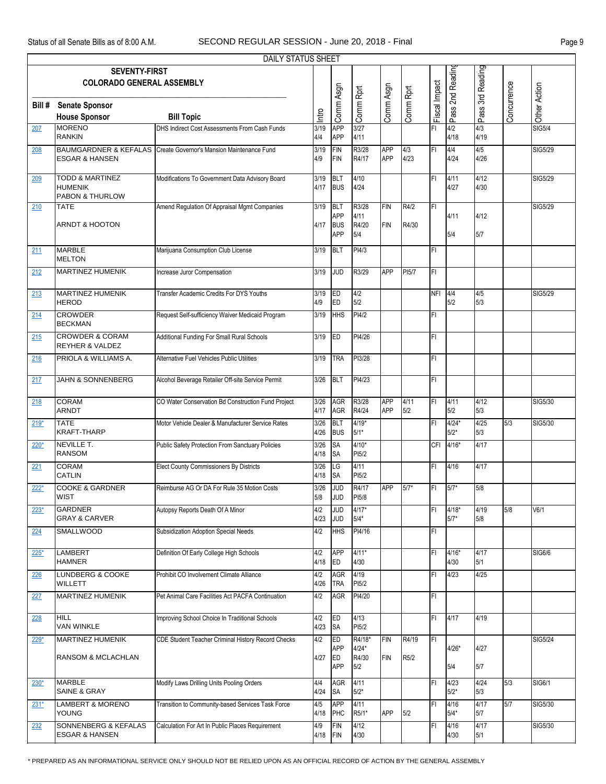## Status of all Senate Bills as of 8:00 A.M. SECOND REGULAR SESSION - June 20, 2018 - Final Page 9

|               |                                                                            | DAILY STATUS SHEET                                                                            |                    |                                        |                         |                          |                   |               |                   |                     |             |                |
|---------------|----------------------------------------------------------------------------|-----------------------------------------------------------------------------------------------|--------------------|----------------------------------------|-------------------------|--------------------------|-------------------|---------------|-------------------|---------------------|-------------|----------------|
|               | <b>SEVENTY-FIRST</b><br><b>COLORADO GENERAL ASSEMBLY</b>                   |                                                                                               |                    |                                        |                         |                          |                   |               | Pass 2nd Reading  | Pass 3rd Reading    |             |                |
| Bill #        | <b>Senate Sponsor</b><br><b>House Sponsor</b>                              | <b>Bill Topic</b>                                                                             | Intro              | Comm Asgn                              | Comm Rprt               | Comm Asgn                | Comm Rprt         | Fiscal Impact |                   |                     | Concurrence | Other Action   |
| 207           | <b>MORENO</b><br><b>RANKIN</b>                                             | DHS Indirect Cost Assessments From Cash Funds                                                 | 3/19<br>4/4        | <b>APP</b><br>APP                      | 3/27<br>4/11            |                          |                   | FI            | 4/2<br>4/18       | 4/3<br>4/19         |             | <b>SIG5/4</b>  |
| 208           | <b>ESGAR &amp; HANSEN</b>                                                  | BAUMGARDNER & KEFALAS Create Governor's Mansion Maintenance Fund                              | 3/19<br>4/9        | FIN<br>FIN                             | R3/28<br>R4/17          | <b>APP</b><br><b>APP</b> | 4/3<br>4/23       | FI            | 4/4<br>4/24       | 4/5<br>4/26         |             | SIG5/29        |
| 209           | <b>TODD &amp; MARTINEZ</b><br><b>HUMENIK</b><br><b>PABON &amp; THURLOW</b> | Modifications To Government Data Advisory Board                                               | 3/19<br>4/17       | <b>BLT</b><br><b>BUS</b>               | 4/10<br>4/24            |                          |                   | FI            | 4/11<br>4/27      | 4/12<br>4/30        |             | SIG5/29        |
| 210           | <b>TATE</b><br><b>ARNDT &amp; HOOTON</b>                                   | Amend Regulation Of Appraisal Mgmt Companies                                                  | 3/19<br>4/17       | <b>BLT</b><br><b>APP</b><br><b>BUS</b> | R3/28<br>4/11<br>R4/20  | <b>FIN</b><br><b>FIN</b> | R4/2<br>R4/30     | FI            | 4/11              | 4/12                |             | SIG5/29        |
| 211           | <b>MARBLE</b><br><b>MELTON</b>                                             | Marijuana Consumption Club License                                                            | 3/19               | <b>APP</b><br><b>BLT</b>               | 5/4<br>PI4/3            |                          |                   | FI            | 5/4               | 5/7                 |             |                |
| 212           | <b>MARTINEZ HUMENIK</b>                                                    | Increase Juror Compensation                                                                   | 3/19               | <b>JUD</b>                             | R3/29                   | <b>APP</b>               | PI5/7             | FI            |                   |                     |             |                |
| 213           | MARTINEZ HUMENIK<br><b>HEROD</b>                                           | Transfer Academic Credits For DYS Youths                                                      | 3/19<br>4/9        | ED<br>ED                               | 4/2<br>5/2              |                          |                   | NFI 4/4       | 5/2               | 4/5<br>5/3          |             | SIG5/29        |
| 214           | <b>CROWDER</b><br><b>BECKMAN</b>                                           | Request Self-sufficiency Waiver Medicaid Program                                              | 3/19               | <b>HHS</b>                             | PI4/2                   |                          |                   | FI            |                   |                     |             |                |
| 215           | <b>CROWDER &amp; CORAM</b><br><b>REYHER &amp; VALDEZ</b>                   | Additional Funding For Small Rural Schools                                                    | 3/19               | <b>IED</b>                             | PI4/26                  |                          |                   | FI            |                   |                     |             |                |
| 216           | PRIOLA & WILLIAMS A.                                                       | Alternative Fuel Vehicles Public Utilities                                                    | 3/19               | <b>TRA</b>                             | PI3/28                  |                          |                   | FI            |                   |                     |             |                |
| 217           | <b>JAHN &amp; SONNENBERG</b>                                               | Alcohol Beverage Retailer Off-site Service Permit                                             | 3/26               | <b>BLT</b>                             | PI4/23                  |                          |                   | FI            |                   |                     |             |                |
| 218           | <b>CORAM</b><br><b>ARNDT</b>                                               | CO Water Conservation Bd Construction Fund Project                                            | 3/26<br>4/17       | AGR<br><b>AGR</b>                      | R3/28<br>R4/24          | <b>APP</b><br><b>APP</b> | 4/11<br>5/2       | FI            | 4/11<br>5/2       | 4/12<br>5/3         |             | SIG5/30        |
| $219*$        | <b>TATE</b><br><b>KRAFT-THARP</b>                                          | Motor Vehicle Dealer & Manufacturer Service Rates                                             | 3/26<br>4/26       | <b>BLT</b><br><b>BUS</b>               | $4/19*$<br>$5/1*$       |                          |                   | FI            | $4/24*$<br>$5/2*$ | 4/25<br>5/3         | 5/3         | SIG5/30        |
| $220*$        | NEVILLE T.<br><b>RANSOM</b>                                                | Public Safety Protection From Sanctuary Policies                                              | 3/26<br>4/18       | <b>SA</b><br><b>SA</b>                 | $4/10*$<br>PI5/2        |                          |                   | CFI           | $4/16*$           | 4/17                |             |                |
| 221           | CORAM<br>CATLIN                                                            | <b>Elect County Commissioners By Districts</b>                                                | 3/26<br>4/18       | LG<br><b>SA</b>                        | 4/11<br>PI5/2           |                          |                   | FL            | 4/16              | 4/17                |             |                |
| $222*$        | <b>COOKE &amp; GARDNER</b><br><b>WIST</b>                                  | Reimburse AG Or DA For Rule 35 Motion Costs                                                   | 3/26<br>5/8        | g<br><b>JUD</b>                        | R4/17<br>PI5/8          | <b>APP</b>               | $5/7*$            | FI            | $5/7*$            | 5/8                 |             |                |
| $223*$        | <b>GARDNER</b><br><b>GRAY &amp; CARVER</b>                                 | Autopsy Reports Death Of A Minor                                                              | 4/2<br>4/23        | g<br><b>JUD</b>                        | $4/17*$<br>$5/4*$       |                          |                   | FI            | $4/18*$<br>$5/7*$ | 4/19<br>5/8         | 5/8         | V6/1           |
| 224           | SMALLWOOD                                                                  | Subsidization Adoption Special Needs                                                          | 4/2                | <b>HHS</b>                             | PI4/16                  |                          |                   | FI            |                   |                     |             |                |
| $225*$        | LAMBERT<br><b>HAMNER</b><br><b>LUNDBERG &amp; COOKE</b>                    | Definition Of Early College High Schools                                                      | 4/2<br>4/18        | <b>APP</b><br>ED                       | $4/11*$<br>4/30         |                          |                   | FI            | $4/16*$<br>4/30   | 4/17<br>5/1<br>4/25 |             | <b>SIG6/6</b>  |
| 226           | <b>WILLETT</b><br><b>MARTINEZ HUMENIK</b>                                  | Prohibit CO Involvement Climate Alliance<br>Pet Animal Care Facilities Act PACFA Continuation | 4/2<br>4/26<br>4/2 | <b>AGR</b><br><b>TRA</b><br><b>AGR</b> | 4/19<br>PI5/2<br>PI4/20 |                          |                   | FI<br>FI      | 4/23              |                     |             |                |
| 227           | <b>HILL</b>                                                                | Improving School Choice In Traditional Schools                                                | 4/2                | ED                                     | 4/13                    |                          |                   | FI.           | 4/17              | 4/19                |             |                |
| 228<br>$229*$ | <b>VAN WINKLE</b><br><b>MARTINEZ HUMENIK</b>                               | CDE Student Teacher Criminal History Record Checks                                            | 4/23<br>4/2        | <b>SA</b><br>ED                        | PI5/2<br>R4/18*         | <b>FIN</b>               | R4/19             | IFL           |                   |                     |             | <b>SIG5/24</b> |
|               | RANSOM & MCLACHLAN                                                         |                                                                                               | 4/27               | <b>APP</b><br><b>ED</b><br><b>APP</b>  | $4/24*$<br>R4/30<br>5/2 | <b>FIN</b>               | R <sub>5</sub> /2 |               | $4/26*$<br>5/4    | 4/27<br>5/7         |             |                |
| $230*$        | <b>MARBLE</b><br><b>SAINE &amp; GRAY</b>                                   | Modify Laws Drilling Units Pooling Orders                                                     | 4/4<br>4/24        | <b>AGR</b><br>SA                       | 4/11<br>$5/2*$          |                          |                   | FI            | 4/23<br>$5/2*$    | 4/24<br>5/3         | 5/3         | <b>SIG6/1</b>  |
| $231*$        | LAMBERT & MORENO<br><b>YOUNG</b>                                           | Transition to Community-based Services Task Force                                             | 4/5<br>4/18        | <b>APP</b><br>PHC                      | 4/11<br>R5/1*           | <b>APP</b>               | 5/2               | FI            | 4/16<br>$5/4*$    | 4/17<br>5/7         | 5/7         | SIG5/30        |
| 232           | SONNENBERG & KEFALAS<br><b>ESGAR &amp; HANSEN</b>                          | Calculation For Art In Public Places Requirement                                              | 4/9<br>4/18        | FIN<br>FIN                             | 4/12<br>4/30            |                          |                   | FI            | 4/16<br>4/30      | 4/17<br>5/1         |             | SIG5/30        |

\* PREPARED AS AN INFORMATIONAL SERVICE ONLY SHOULD NOT BE RELIED UPON AS AN OFFICIAL RECORD OF ACTION BY THE GENERAL ASSEMBLY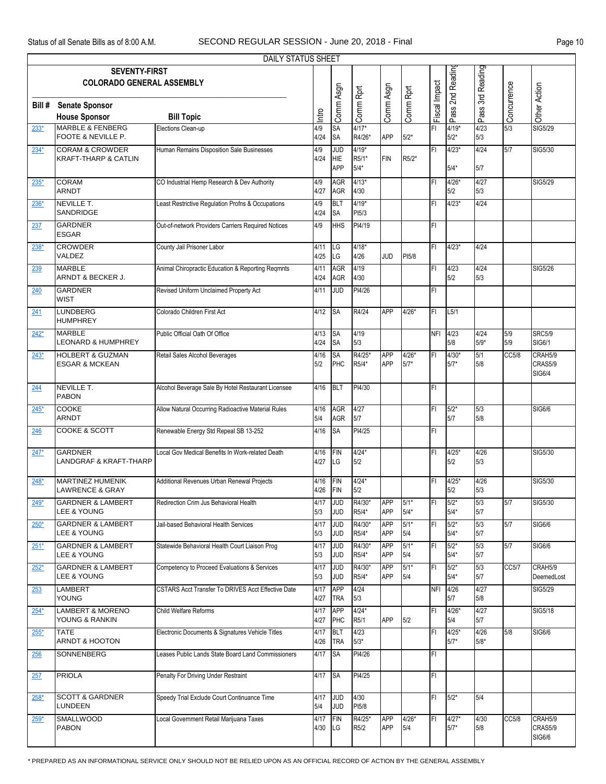|        |                                                          | <b>DAILY STATUS SHEET</b>                          |              |                          |                  |                          |                 |               |                   |                  |             |                       |
|--------|----------------------------------------------------------|----------------------------------------------------|--------------|--------------------------|------------------|--------------------------|-----------------|---------------|-------------------|------------------|-------------|-----------------------|
|        | <b>SEVENTY-FIRST</b>                                     |                                                    |              |                          |                  |                          |                 |               |                   |                  |             |                       |
|        | <b>COLORADO GENERAL ASSEMBLY</b>                         |                                                    |              |                          |                  |                          |                 |               | Pass 2nd Readin   | Pass 3rd Reading |             |                       |
|        |                                                          |                                                    |              |                          |                  |                          |                 |               |                   |                  |             |                       |
| Bill # | <b>Senate Sponsor</b>                                    |                                                    | Intro        | Comm Asgn                | Comm Rprt        | Comm Asgn                | Comm Rprt       | Fiscal Impact |                   |                  | Concurrence | Other Action          |
| $233*$ | <b>House Sponsor</b><br><b>MARBLE &amp; FENBERG</b>      | <b>Bill Topic</b><br>Elections Clean-up            | 4/9          | SA                       | $4/17*$          |                          |                 | F1            | 4/19*             | 4/23             | 5/3         | SIG5/29               |
|        | FOOTE & NEVILLE P.                                       |                                                    | 4/24         | <b>SA</b>                | R4/26*           | <b>APP</b>               | $5/2*$          |               | $5/2*$            | 5/3              |             |                       |
| $234*$ | <b>CORAM &amp; CROWDER</b>                               | Human Remains Disposition Sale Businesses          | 4/9          | <b>JUD</b>               | $4/19*$          |                          |                 | lFI.          | $4/23*$           | 4/24             | 5/7         | SIG5/30               |
|        | <b>KRAFT-THARP &amp; CATLIN</b>                          |                                                    | 4/24         | <b>HIE</b><br><b>APP</b> | R5/1*<br>$5/4*$  | <b>FIN</b>               | R5/2*           |               | $5/4*$            | 5/7              |             |                       |
| $235*$ | <b>CORAM</b>                                             | CO Industrial Hemp Research & Dev Authority        | 4/9          | <b>AGR</b>               | $4/13*$          |                          |                 | ΙFΙ           | $4/26*$           | 4/27             |             | SIG5/29               |
|        | <b>ARNDT</b>                                             |                                                    | 4/27         | AGR                      | 4/30             |                          |                 |               | 5/2               | 5/3              |             |                       |
| $236*$ | <b>NEVILLE T.</b><br>SANDRIDGE                           | Least Restrictive Regulation Profns & Occupations  | 4/9          | <b>BLT</b><br><b>SA</b>  | $4/19*$<br>PI5/3 |                          |                 | FI            | $4/23*$           | 4/24             |             |                       |
| 237    | <b>GARDNER</b>                                           | Out-of-network Providers Carriers Required Notices | 4/24<br>4/9  | <b>HHS</b>               | PI4/19           |                          |                 | İΕL           |                   |                  |             |                       |
|        | <b>ESGAR</b>                                             |                                                    |              |                          |                  |                          |                 |               |                   |                  |             |                       |
| $238*$ | <b>CROWDER</b>                                           | County Jail Prisoner Labor                         | 4/11         | LG                       | $4/18*$          |                          |                 | İΕL           | $4/23*$           | 4/24             |             |                       |
|        | VALDEZ<br><b>MARBLE</b>                                  | Animal Chiropractic Education & Reporting Reqmnts  | 4/25<br>4/11 | LG<br><b>AGR</b>         | 4/26<br>4/19     | <b>JUD</b>               | PI5/8           | İΕL           | 4/23              | 4/24             |             | SIG5/26               |
| 239    | ARNDT & BECKER J.                                        |                                                    | 4/24         | <b>AGR</b>               | 4/30             |                          |                 |               | 5/2               | 5/3              |             |                       |
| 240    | <b>GARDNER</b>                                           | Revised Uniform Unclaimed Property Act             | 4/11         | <b>JUD</b>               | PI4/26           |                          |                 | FI            |                   |                  |             |                       |
|        | <b>WIST</b>                                              |                                                    |              |                          |                  |                          |                 |               |                   |                  |             |                       |
| 241    | <b>LUNDBERG</b><br><b>HUMPHREY</b>                       | Colorado Children First Act                        | 4/12         | <b>SA</b>                | R4/24            | <b>APP</b>               | 4/26*           | FI            | L5/1              |                  |             |                       |
| $242*$ | <b>MARBLE</b>                                            | Public Official Oath Of Office                     | 4/13         | <b>SA</b>                | 4/19             |                          |                 | <b>NFI</b>    | 4/23              | 4/24             | 5/9         | <b>SRC5/9</b>         |
|        | <b>LEONARD &amp; HUMPHREY</b>                            |                                                    | 4/24         | <b>SA</b>                | 5/3              |                          |                 |               | 5/8               | $5/9*$           | 5/9         | SIG6/1                |
| $243*$ | <b>HOLBERT &amp; GUZMAN</b><br><b>ESGAR &amp; MCKEAN</b> | Retail Sales Alcohol Beverages                     | 4/16<br>5/2  | <b>SA</b><br>PHC         | R4/25*<br>R5/4*  | <b>APP</b><br><b>APP</b> | 4/26*<br>$5/7*$ | ΙFΙ           | $4/30*$<br>$5/7*$ | 5/1<br>5/8       | CC5/8       | CRAH5/9<br>CRAS5/9    |
|        |                                                          |                                                    |              |                          |                  |                          |                 |               |                   |                  |             | <b>SIG6/4</b>         |
| 244    | <b>NEVILLE T.</b>                                        | Alcohol Beverage Sale By Hotel Restaurant Licensee | 4/16         | BLT                      | PI4/30           |                          |                 | FL            |                   |                  |             |                       |
|        | <b>PABON</b>                                             |                                                    |              |                          |                  |                          |                 |               |                   |                  |             |                       |
| $245*$ | <b>COOKE</b><br><b>ARNDT</b>                             | Allow Natural Occurring Radioactive Material Rules | 4/16<br>5/4  | <b>AGR</b><br>AGR        | 4/27<br>5/7      |                          |                 | FI            | $5/2*$<br>5/7     | 5/3<br>5/8       |             | SIG6/6                |
| 246    | <b>COOKE &amp; SCOTT</b>                                 | Renewable Energy Std Repeal SB 13-252              | 4/16         | <b>SA</b>                | PI4/25           |                          |                 | FI            |                   |                  |             |                       |
|        |                                                          |                                                    |              |                          |                  |                          |                 |               |                   |                  |             |                       |
| $247*$ | <b>GARDNER</b><br><b>LANDGRAF &amp; KRAFT-THARP</b>      | Local Gov Medical Benefits In Work-related Death   | 4/16<br>4/27 | FIN<br>LG                | $4/24*$<br>5/2   |                          |                 | ΙFΙ           | $4/25*$<br>5/2    | 4/26<br>5/3      |             | SIG5/30               |
|        |                                                          |                                                    |              |                          |                  |                          |                 |               |                   |                  |             |                       |
| $248*$ | <b>MARTINEZ HUMENIK</b><br><b>LAWRENCE &amp; GRAY</b>    | Additional Revenues Urban Renewal Projects         | 4/16<br>4/26 | FIN<br>FIN               | $4/24*$<br>5/2   |                          |                 | FI            | 4/25*<br>5/2      | 4/26<br>5/3      |             | SIG5/30               |
| $249*$ | <b>GARDNER &amp; LAMBERT</b>                             | Redirection Crim Jus Behavioral Health             | 4/17         | <b>JUD</b>               | R4/30*           | <b>APP</b>               | $5/1*$          | ΙFΙ           | $5/2*$            | 5/3              | 5/7         | SIG5/30               |
|        | <b>LEE &amp; YOUNG</b>                                   |                                                    | 5/3          | <b>JUD</b>               | R5/4*            | <b>APP</b>               | $5/4*$          |               | $5/4*$            | 5/7              |             |                       |
| $250*$ | <b>GARDNER &amp; LAMBERT</b><br><b>LEE &amp; YOUNG</b>   | Jail-based Behavioral Health Services              | 4/17<br>5/3  | <b>JUD</b><br><b>JUD</b> | R4/30*<br>R5/4*  | <b>APP</b><br>APP        | $5/1*$<br>5/4   | F             | $5/2*$<br>$5/4*$  | 5/3<br>5/7       | 5/7         | <b>SIG6/6</b>         |
| $251*$ | <b>GARDNER &amp; LAMBERT</b>                             | Statewide Behavioral Health Court Liaison Prog     | 4/17         | <b>JUD</b>               | R4/30*           | <b>APP</b>               | $5/1*$          | FI            | $5/2*$            | 5/3              | 5/7         | <b>SIG6/6</b>         |
|        | LEE & YOUNG                                              |                                                    | 5/3          | <b>JUD</b>               | R5/4*            | <b>APP</b>               | 5/4             |               | $5/4*$            | 5/7              |             |                       |
| $252*$ | <b>GARDNER &amp; LAMBERT</b><br>LEE & YOUNG              | Competency to Proceed Evaluations & Services       | 4/17         | <b>JUD</b><br><b>JUD</b> | R4/30*<br>R5/4*  | <b>APP</b><br><b>APP</b> | $5/1*$<br>5/4   | F             | $5/2*$<br>$5/4*$  | 5/3<br>5/7       | CC5/7       | CRAH5/9<br>DeemedLost |
| 253    | <b>LAMBERT</b>                                           | CSTARS Acct Transfer To DRIVES Acct Effective Date | 5/3<br>4/17  | <b>APP</b>               | 4/24             |                          |                 | <b>NFI</b>    | 4/26              | 4/27             |             | SIG5/29               |
|        | <b>YOUNG</b>                                             |                                                    | 4/27         | <b>TRA</b>               | 5/3              |                          |                 |               | 5/7               | 5/8              |             |                       |
| $254*$ | <b>LAMBERT &amp; MORENO</b>                              | <b>Child Welfare Reforms</b>                       | 4/17         | <b>APP</b>               | $4/24*$          |                          |                 | FI            | $4/26*$           | 4/27             |             | <b>SIG5/18</b>        |
|        | YOUNG & RANKIN                                           |                                                    | 4/27         | PHC                      | R5/1             | <b>APP</b>               | 5/2             |               | 5/4               | 5/7              |             |                       |
| $255*$ | <b>TATE</b><br>ARNDT & HOOTON                            | Electronic Documents & Signatures Vehicle Titles   | 4/17<br>4/26 | BLT<br><b>TRA</b>        | 4/23<br>$5/3*$   |                          |                 | İΕL           | $4/25*$<br>$5/7*$ | 4/26<br>$5/8*$   | 5/8         | SIG6/6                |
| 256    | <b>SONNENBERG</b>                                        | Leases Public Lands State Board Land Commissioners | 4/17         | <b>SA</b>                | PI4/26           |                          |                 | FI            |                   |                  |             |                       |
|        |                                                          |                                                    |              |                          |                  |                          |                 |               |                   |                  |             |                       |
| 257    | <b>PRIOLA</b>                                            | Penalty For Driving Under Restraint                | 4/17 SA      |                          | PI4/25           |                          |                 | FL            |                   |                  |             |                       |
| $258*$ | <b>SCOTT &amp; GARDNER</b>                               | Speedy Trial Exclude Court Continuance Time        | 4/17         | <b>JUD</b>               | 4/30             |                          |                 | FI            | $5/2*$            | 5/4              |             |                       |
|        | <b>LUNDEEN</b>                                           |                                                    | 5/4          | JUD                      | PI5/8            |                          |                 |               |                   |                  |             |                       |
| $259*$ | <b>SMALLWOOD</b><br><b>PABON</b>                         | Local Government Retail Marijuana Taxes            | 4/17<br>4/30 | FIN<br>LG                | R4/25*<br>R5/2   | <b>APP</b><br><b>APP</b> | $4/26*$<br>5/4  | FI            | $4/27*$<br>$5/7*$ | 4/30<br>5/8      | CC5/8       | CRAH5/9<br>CRAS5/9    |
|        |                                                          |                                                    |              |                          |                  |                          |                 |               |                   |                  |             | SIG6/6                |

\* PREPARED AS AN INFORMATIONAL SERVICE ONLY SHOULD NOT BE RELIED UPON AS AN OFFICIAL RECORD OF ACTION BY THE GENERAL ASSEMBLY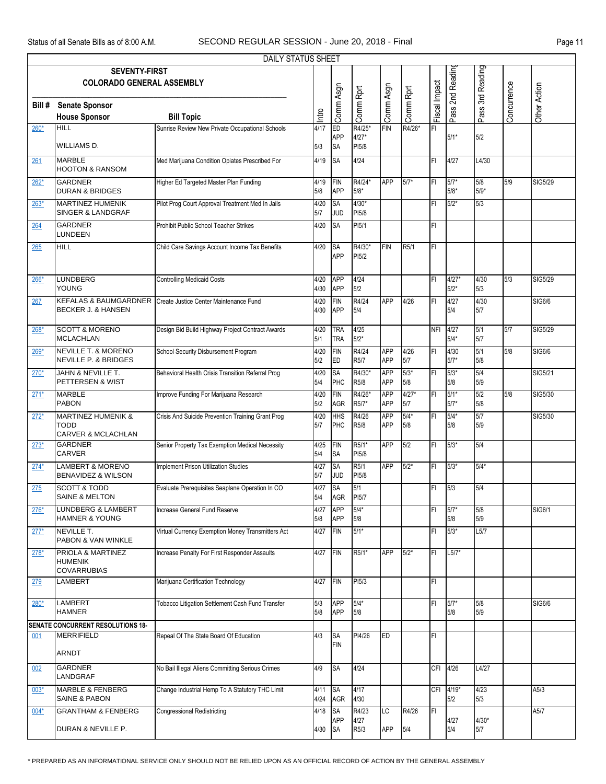|        |                                                                        | <b>DAILY STATUS SHEET</b>                         |                 |                          |                       |                          |                |                |                   |                  |             |               |
|--------|------------------------------------------------------------------------|---------------------------------------------------|-----------------|--------------------------|-----------------------|--------------------------|----------------|----------------|-------------------|------------------|-------------|---------------|
|        | <b>SEVENTY-FIRST</b><br><b>COLORADO GENERAL ASSEMBLY</b>               |                                                   |                 |                          |                       |                          |                |                | Pass 2nd Readin   | Pass 3rd Reading |             |               |
| Bill # | <b>Senate Sponsor</b>                                                  |                                                   |                 | Comm Asgn                | Comm Rprt             | Comm Asgn                | Comm Rprt      | Fiscal Impact  |                   |                  | Concurrence | Other Action  |
|        | <b>House Sponsor</b>                                                   | <b>Bill Topic</b>                                 | Intro           |                          |                       |                          |                |                |                   |                  |             |               |
| $260*$ | <b>HILL</b>                                                            | Sunrise Review New Private Occupational Schools   | 4/17            | ED                       | R4/25*                | <b>FIN</b>               | R4/26*         | FI             |                   |                  |             |               |
|        | WILLIAMS D.                                                            |                                                   | 5/3             | <b>APP</b><br><b>SA</b>  | $4/27*$<br>PI5/8      |                          |                |                | $5/1*$            | 5/2              |             |               |
| 261    | <b>MARBLE</b><br><b>HOOTON &amp; RANSOM</b>                            | Med Marijuana Condition Opiates Prescribed For    | 4/19            | <b>SA</b>                | 4/24                  |                          |                | FI             | 4/27              | L4/30            |             |               |
| $262*$ | <b>GARDNER</b><br><b>DURAN &amp; BRIDGES</b>                           | Higher Ed Targeted Master Plan Funding            | 4/19<br>5/8     | FIN<br>APP               | R4/24*<br>$5/8*$      | <b>APP</b>               | $5/7*$         | FI             | $5/7*$<br>5/8*    | 5/8<br>$5/9*$    | 5/9         | SIG5/29       |
| $263*$ | <b>MARTINEZ HUMENIK</b><br>SINGER & LANDGRAF                           | Pilot Prog Court Approval Treatment Med In Jails  | 4/20<br>5/7     | <b>SA</b><br><b>JUD</b>  | $4/30*$<br>PI5/8      |                          |                | FI             | $5/2*$            | 5/3              |             |               |
| 264    | <b>GARDNER</b><br>LUNDEEN                                              | Prohibit Public School Teacher Strikes            | 4/20            | <b>SA</b>                | PI5/1                 |                          |                | FI             |                   |                  |             |               |
| 265    | <b>HILL</b>                                                            | Child Care Savings Account Income Tax Benefits    | 4/20            | <b>SA</b><br>APP         | R4/30*<br>PI5/2       | <b>FIN</b>               | R5/1           | FI             |                   |                  |             |               |
| 266*   | LUNDBERG<br><b>YOUNG</b>                                               | <b>Controlling Medicaid Costs</b>                 | 4/20<br>4/30    | <b>APP</b><br>APP        | 4/24<br>5/2           |                          |                | FI             | $4/27*$<br>$5/2*$ | 4/30<br>5/3      | 5/3         | SIG5/29       |
| 267    | <b>KEFALAS &amp; BAUMGARDNER</b><br><b>BECKER J. &amp; HANSEN</b>      | Create Justice Center Maintenance Fund            | 4/20<br>4/30    | FIN<br>APP               | R4/24<br>5/4          | <b>APP</b>               | 4/26           | FI             | 4/27<br>5/4       | 4/30<br>5/7      |             | <b>SIG6/6</b> |
| 268*   | <b>SCOTT &amp; MORENO</b><br><b>MCLACHLAN</b>                          | Design Bid Build Highway Project Contract Awards  | 4/20<br>5/1     | <b>TRA</b><br><b>TRA</b> | 4/25<br>$5/2*$        |                          |                | <b>NFI</b>     | 4/27<br>$5/4*$    | 5/1<br>5/7       | 5/7         | SIG5/29       |
| $269*$ | <b>NEVILLE T. &amp; MORENO</b><br><b>NEVILLE P. &amp; BRIDGES</b>      | School Security Disbursement Program              | 4/20<br>5/2     | FIN<br>ED                | R4/24<br>R5/7         | <b>APP</b><br><b>APP</b> | 4/26<br>5/7    | FI             | 4/30<br>$5/7*$    | 5/1<br>5/8       | 5/8         | <b>SIG6/6</b> |
| $270*$ | JAHN & NEVILLE T.<br>PETTERSEN & WIST                                  | Behavioral Health Crisis Transition Referral Prog | 4/20<br>5/4     | <b>SA</b><br>PHC         | R4/30*<br>R5/8        | <b>APP</b><br><b>APP</b> | $5/3*$<br>5/8  | FI             | $5/3*$<br>5/8     | 5/4<br>5/9       |             | SIG5/21       |
| $271*$ | <b>MARBLE</b><br><b>PABON</b>                                          | Improve Funding For Marijuana Research            | 4/20<br>5/2     | FIN<br><b>AGR</b>        | R4/26*<br>R5/7*       | <b>APP</b><br>APP        | $4/27*$<br>5/7 | FI             | $5/1*$<br>$5/7*$  | 5/2<br>5/8       | 5/8         | SIG5/30       |
| $272*$ | <b>MARTINEZ HUMENIK &amp;</b><br>TODD<br><b>CARVER &amp; MCLACHLAN</b> | Crisis And Suicide Prevention Training Grant Prog | 4/20<br>5/7     | HHS<br>PHC               | R4/26<br>R5/8         | <b>APP</b><br><b>APP</b> | $5/4*$<br>5/8  | FI             | $5/4*$<br>5/8     | 5/7<br>5/9       |             | SIG5/30       |
| $273*$ | GARDNER<br><b>CARVER</b>                                               | Senior Property Tax Exemption Medical Necessity   | 4/25 FIN<br>5/4 | <b>SA</b>                | R5/1*<br>PI5/8        | <b>APP</b>               | 5/2            | $\overline{H}$ | $5/3*$            | 5/4              |             |               |
| $274*$ | LAMBERT & MORENO<br>BENAVIDEZ & WILSON                                 | Implement Prison Utilization Studies              | 4/27<br>5/7     | <b>SA</b><br><b>JUD</b>  | R5/1<br>PI5/8         | <b>APP</b>               | $5/2*$         | FL             | $5/3*$            | $5/4*$           |             |               |
| 275    | <b>SCOTT &amp; TODD</b><br><b>SAINE &amp; MELTON</b>                   | Evaluate Prerequisites Seaplane Operation In CO   | 4/27<br>5/4     | <b>SA</b><br>AGR         | 5/1<br>PI5/7          |                          |                | FI.            | 5/3               | 5/4              |             |               |
| $276*$ | <b>LUNDBERG &amp; LAMBERT</b><br><b>HAMNER &amp; YOUNG</b>             | Increase General Fund Reserve                     | 4/27<br>5/8     | <b>APP</b><br><b>APP</b> | $5/4*$<br>5/8         |                          |                | FI             | $5/7*$<br>5/8     | 5/8<br>5/9       |             | SIG6/1        |
| $277*$ | NEVILLE T.<br>PABON & VAN WINKLE                                       | Virtual Currency Exemption Money Transmitters Act | 4/27            | FIN                      | $5/1*$                |                          |                | FI             | $5/3*$            | L5/7             |             |               |
| $278*$ | PRIOLA & MARTINEZ<br><b>HUMENIK</b><br><b>COVARRUBIAS</b>              | Increase Penalty For First Responder Assaults     | 4/27            | <b>FIN</b>               | R5/1*                 | <b>APP</b>               | $5/2*$         | FI             | $L5/7*$           |                  |             |               |
| 279    | LAMBERT                                                                | Marijuana Certification Technology                | 4/27            | FIN                      | PI5/3                 |                          |                | FI             |                   |                  |             |               |
| 280*   | LAMBERT<br><b>HAMNER</b>                                               | Tobacco Litigation Settlement Cash Fund Transfer  | 5/3<br>5/8      | <b>APP</b><br><b>APP</b> | $5/4*$<br>5/8         |                          |                | FI             | $5/7*$<br>5/8     | 5/8<br>5/9       |             | SIG6/6        |
|        | SENATE CONCURRENT RESOLUTIONS 18-                                      |                                                   |                 |                          |                       |                          |                |                |                   |                  |             |               |
| 001    | MERRIFIELD<br>ARNDT                                                    | Repeal Of The State Board Of Education            | 4/3             | <b>SA</b><br>FIN         | PI4/26                | <b>ED</b>                |                | FI             |                   |                  |             |               |
| 002    | <b>GARDNER</b><br>LANDGRAF                                             | No Bail Illegal Aliens Committing Serious Crimes  | 4/9             | <b>SA</b>                | 4/24                  |                          |                |                | CFI 4/26          | L4/27            |             |               |
| $003*$ | <b>MARBLE &amp; FENBERG</b><br><b>SAINE &amp; PABON</b>                | Change Industrial Hemp To A Statutory THC Limit   | 4/11<br>4/24    | <b>SA</b><br>AGR         | 4/17<br>4/30          |                          |                |                | CFI 4/19*<br>5/2  | 4/23<br>5/3      |             | A5/3          |
| $004*$ | <b>GRANTHAM &amp; FENBERG</b><br>DURAN & NEVILLE P.                    | <b>Congressional Redistricting</b>                | 4/18            | <b>SA</b><br><b>APP</b>  | R4/23<br>4/27<br>R5/3 | LC<br>APP                | R4/26<br>5/4   | FI             | 4/27<br>5/4       | $4/30*$          |             | A5/7          |
|        |                                                                        |                                                   | 4/30            | <b>SA</b>                |                       |                          |                |                |                   | 5/7              |             |               |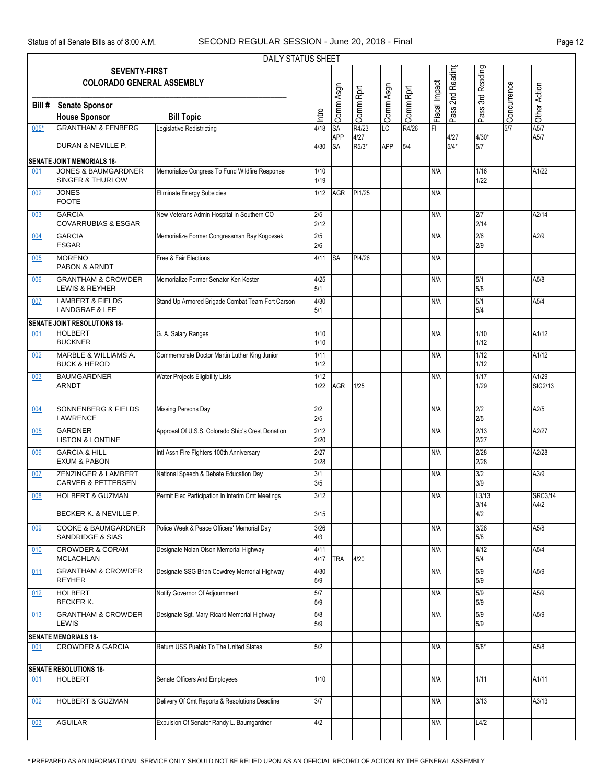| ٦ρ<br>ιC<br>٠<br>n |  |
|--------------------|--|
|--------------------|--|

| DAILY STATUS SHEET                       |                                                               |                                                   |              |                         |               |            |           |               |                  |                |             |                  |
|------------------------------------------|---------------------------------------------------------------|---------------------------------------------------|--------------|-------------------------|---------------|------------|-----------|---------------|------------------|----------------|-------------|------------------|
| Pass 3rd Reading<br><b>SEVENTY-FIRST</b> |                                                               |                                                   |              |                         |               |            |           |               |                  |                |             |                  |
|                                          | <b>COLORADO GENERAL ASSEMBLY</b>                              |                                                   |              |                         |               |            |           |               | Pass 2nd Reading |                |             |                  |
|                                          |                                                               |                                                   |              | Comm Asgn               | Comm Rprt     | Comm Asgn  | Comm Rprt | Fiscal Impact |                  |                | Concurrence | SiOther Action   |
| Bill #                                   | <b>Senate Sponsor</b>                                         |                                                   |              |                         |               |            |           |               |                  |                |             |                  |
|                                          | <b>House Sponsor</b>                                          | <b>Bill Topic</b>                                 | Intro        |                         |               |            |           |               |                  |                |             |                  |
| $005*$                                   | <b>GRANTHAM &amp; FENBERG</b>                                 | Legislative Redistricting                         | 4/18         | SA                      | R4/23         | LC         | R4/26     | FI            |                  |                | 5/7         |                  |
|                                          | DURAN & NEVILLE P.                                            |                                                   |              | <b>APP</b><br><b>SA</b> | 4/27<br>R5/3* | <b>APP</b> |           |               | 4/27<br>$5/4*$   | $4/30*$<br>5/7 |             | A5/7             |
|                                          |                                                               |                                                   | 4/30         |                         |               |            | 5/4       |               |                  |                |             |                  |
|                                          | <b>SENATE JOINT MEMORIALS 18-</b>                             |                                                   |              |                         |               |            |           |               |                  |                |             |                  |
| 001                                      | <b>JONES &amp; BAUMGARDNER</b><br><b>SINGER &amp; THURLOW</b> | Memorialize Congress To Fund Wildfire Response    | $1/10$       |                         |               |            |           | N/A           |                  | 1/16           |             | A1/22            |
|                                          |                                                               |                                                   | 1/19         |                         |               |            |           |               |                  | 1/22           |             |                  |
| 002                                      | <b>JONES</b><br><b>FOOTE</b>                                  | <b>Eliminate Energy Subsidies</b>                 | 1/12         | <b>AGR</b>              | PI1/25        |            |           | N/A           |                  |                |             |                  |
|                                          | <b>GARCIA</b>                                                 | New Veterans Admin Hospital In Southern CO        |              |                         |               |            |           | N/A           |                  |                |             | A2/14            |
| 003                                      | <b>COVARRUBIAS &amp; ESGAR</b>                                |                                                   | 2/5<br>2/12  |                         |               |            |           |               |                  | 2/7<br>2/14    |             |                  |
| 004                                      | <b>GARCIA</b>                                                 | Memorialize Former Congressman Ray Kogovsek       | 2/5          |                         |               |            |           | N/A           |                  | 2/6            |             | A2/9             |
|                                          | <b>ESGAR</b>                                                  |                                                   | 2/6          |                         |               |            |           |               |                  | 2/9            |             |                  |
| 005                                      | <b>MORENO</b>                                                 | Free & Fair Elections                             | 4/11         | <b>SA</b>               | PI4/26        |            |           | N/A           |                  |                |             |                  |
|                                          | <b>PABON &amp; ARNDT</b>                                      |                                                   |              |                         |               |            |           |               |                  |                |             |                  |
| 006                                      | <b>GRANTHAM &amp; CROWDER</b>                                 | Memorialize Former Senator Ken Kester             | 4/25         |                         |               |            |           | N/A           |                  | 5/1            |             | A5/8             |
|                                          | <b>LEWIS &amp; REYHER</b>                                     |                                                   | 5/1          |                         |               |            |           |               |                  | 5/8            |             |                  |
| 007                                      | <b>LAMBERT &amp; FIELDS</b>                                   | Stand Up Armored Brigade Combat Team Fort Carson  | 4/30         |                         |               |            |           | N/A           |                  | 5/1            |             | A5/4             |
|                                          | <b>LANDGRAF &amp; LEE</b>                                     |                                                   | 5/1          |                         |               |            |           |               |                  | 5/4            |             |                  |
|                                          | <b>SENATE JOINT RESOLUTIONS 18-</b>                           |                                                   |              |                         |               |            |           |               |                  |                |             |                  |
| 001                                      | <b>HOLBERT</b><br><b>BUCKNER</b>                              | G. A. Salary Ranges                               | 1/10         |                         |               |            |           | N/A           |                  | 1/10           |             | A1/12            |
|                                          |                                                               |                                                   | $1/10$       |                         |               |            |           |               |                  | $1/12$         |             |                  |
| 002                                      | MARBLE & WILLIAMS A.<br><b>BUCK &amp; HEROD</b>               | Commemorate Doctor Martin Luther King Junior      | 1/11<br>1/12 |                         |               |            |           | N/A           |                  | 1/12<br>$1/12$ |             | A1/12            |
|                                          | <b>BAUMGARDNER</b>                                            |                                                   |              |                         |               |            |           |               |                  | 1/17           |             |                  |
| 003                                      | <b>ARNDT</b>                                                  | Water Projects Eligibility Lists                  | 1/12<br>1/22 | <b>AGR</b>              | 1/25          |            |           | N/A           |                  | 1/29           |             | A1/29<br>SIG2/13 |
|                                          |                                                               |                                                   |              |                         |               |            |           |               |                  |                |             |                  |
| 004                                      | <b>SONNENBERG &amp; FIELDS</b>                                | <b>Missing Persons Day</b>                        | 2/2          |                         |               |            |           | N/A           |                  | 2/2            |             | A2/5             |
|                                          | LAWRENCE                                                      |                                                   | 2/5          |                         |               |            |           |               |                  | 2/5            |             |                  |
| 005                                      | <b>GARDNER</b>                                                | Approval Of U.S.S. Colorado Ship's Crest Donation | 2/12         |                         |               |            |           | N/A           |                  | 2/13           |             | A2/27            |
|                                          | <b>LISTON &amp; LONTINE</b>                                   |                                                   | 2/20         |                         |               |            |           |               |                  | 2/27           |             |                  |
| 006                                      | <b>GARCIA &amp; HILL</b>                                      | Intl Assn Fire Fighters 100th Anniversary         | 2/27         |                         |               |            |           | N/A           |                  | 2/28           |             | A2/28            |
|                                          | <b>EXUM &amp; PABON</b>                                       |                                                   | 2/28         |                         |               |            |           |               |                  | 2/28           |             |                  |
| 007                                      | ZENZINGER & LAMBERT                                           | National Speech & Debate Education Day            | 3/1          |                         |               |            |           | N/A           |                  | 3/2            |             | A3/9             |
|                                          | <b>CARVER &amp; PETTERSEN</b>                                 |                                                   | 3/5          |                         |               |            |           |               |                  | 3/9            |             |                  |
| 008                                      | <b>HOLBERT &amp; GUZMAN</b>                                   | Permit Elec Participation In Interim Cmt Meetings | 3/12         |                         |               |            |           | N/A           |                  | L3/13          |             | <b>SRC3/14</b>   |
|                                          | BECKER K. & NEVILLE P.                                        |                                                   | 3/15         |                         |               |            |           |               |                  | 3/14<br>4/2    |             | A4/2             |
|                                          |                                                               |                                                   |              |                         |               |            |           |               |                  |                |             |                  |
| 009                                      | <b>COOKE &amp; BAUMGARDNER</b><br><b>SANDRIDGE &amp; SIAS</b> | Police Week & Peace Officers' Memorial Day        | 3/26<br>4/3  |                         |               |            |           | N/A           |                  | 3/28<br>5/8    |             | A5/8             |
|                                          | <b>CROWDER &amp; CORAM</b>                                    | Designate Nolan Olson Memorial Highway            | 4/11         |                         |               |            |           |               |                  | 4/12           |             |                  |
| 010                                      | <b>MCLACHLAN</b>                                              |                                                   | 4/17         | <b>TRA</b>              | 4/20          |            |           | N/A           |                  | 5/4            |             | A5/4             |
| 011                                      | <b>GRANTHAM &amp; CROWDER</b>                                 | Designate SSG Brian Cowdrey Memorial Highway      | 4/30         |                         |               |            |           | N/A           |                  | 5/9            |             | A5/9             |
|                                          | <b>REYHER</b>                                                 |                                                   | 5/9          |                         |               |            |           |               |                  | 5/9            |             |                  |
| 012                                      | <b>HOLBERT</b>                                                | Notify Governor Of Adjournment                    | 5/7          |                         |               |            |           | N/A           |                  | 5/9            |             | A5/9             |
|                                          | <b>BECKER K.</b>                                              |                                                   | 5/9          |                         |               |            |           |               |                  | 5/9            |             |                  |
| 013                                      | <b>GRANTHAM &amp; CROWDER</b>                                 | Designate Sgt. Mary Ricard Memorial Highway       | 5/8          |                         |               |            |           | N/A           |                  | 5/9            |             | A5/9             |
|                                          | <b>LEWIS</b>                                                  |                                                   | 5/9          |                         |               |            |           |               |                  | 5/9            |             |                  |
|                                          | <b>SENATE MEMORIALS 18-</b>                                   |                                                   |              |                         |               |            |           |               |                  |                |             |                  |
| 001                                      | <b>CROWDER &amp; GARCIA</b>                                   | Return USS Pueblo To The United States            | 5/2          |                         |               |            |           | N/A           |                  | $5/8*$         |             | A5/8             |
|                                          |                                                               |                                                   |              |                         |               |            |           |               |                  |                |             |                  |
| <b>SENATE RESOLUTIONS 18-</b>            |                                                               |                                                   |              |                         |               |            |           |               |                  |                |             |                  |
| 001                                      | <b>HOLBERT</b>                                                | Senate Officers And Employees                     | 1/10         |                         |               |            |           | N/A           |                  | 1/11           |             | A1/11            |
|                                          |                                                               |                                                   |              |                         |               |            |           |               |                  |                |             |                  |
| 002                                      | <b>HOLBERT &amp; GUZMAN</b>                                   | Delivery Of Cmt Reports & Resolutions Deadline    | 3/7          |                         |               |            |           | N/A           |                  | 3/13           |             | A3/13            |
|                                          |                                                               |                                                   |              |                         |               |            |           |               |                  |                |             |                  |
| 003                                      | <b>AGUILAR</b>                                                | Expulsion Of Senator Randy L. Baumgardner         | 4/2          |                         |               |            |           | N/A           |                  | L4/2           |             |                  |
|                                          |                                                               |                                                   |              |                         |               |            |           |               |                  |                |             |                  |